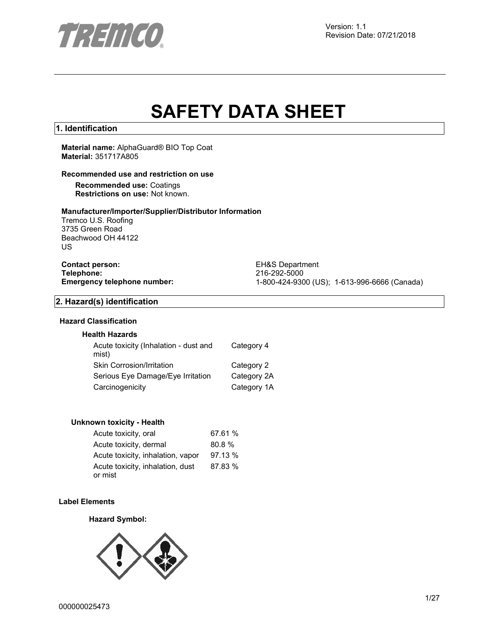

# **SAFETY DATA SHEET**

# **1. Identification**

**Material name:** AlphaGuard® BIO Top Coat **Material:** 351717A805

# **Recommended use and restriction on use**

**Recommended use:** Coatings **Restrictions on use:** Not known.

# **Manufacturer/Importer/Supplier/Distributor Information**

Tremco U.S. Roofing 3735 Green Road Beachwood OH 44122 US

**Contact person:** EH&S Department<br>
Telephone: 216-292-5000 **Telephone:** 216-292-5000

**Emergency telephone number:** 1-800-424-9300 (US); 1-613-996-6666 (Canada)

# **2. Hazard(s) identification**

# **Hazard Classification**

# **Health Hazards**

| Acute toxicity (Inhalation - dust and<br>mist) | Category 4  |
|------------------------------------------------|-------------|
| Skin Corrosion/Irritation                      | Category 2  |
| Serious Eye Damage/Eye Irritation              | Category 2A |
| Carcinogenicity                                | Category 1A |

#### **Unknown toxicity - Health**

| Acute toxicity, oral              | 67.61 % |
|-----------------------------------|---------|
| Acute toxicity, dermal            | 80.8%   |
| Acute toxicity, inhalation, vapor | 97.13 % |
| Acute toxicity, inhalation, dust  | 87.83 % |
| or mist                           |         |

# **Label Elements**

#### **Hazard Symbol:**

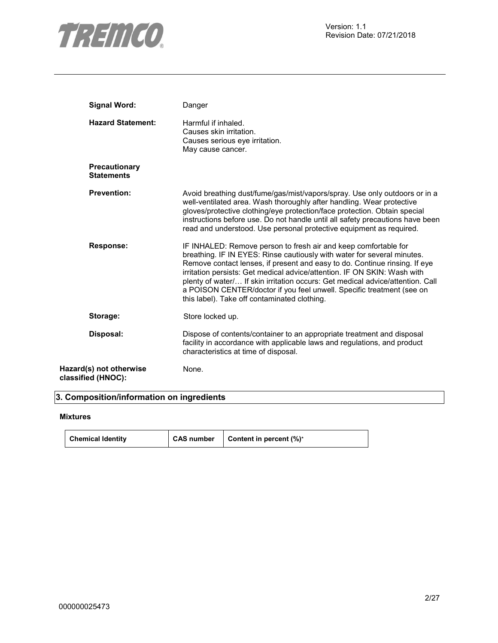

| <b>Signal Word:</b>                           | Danger                                                                                                                                                                                                                                                                                                                                                                                                                                                                                                          |
|-----------------------------------------------|-----------------------------------------------------------------------------------------------------------------------------------------------------------------------------------------------------------------------------------------------------------------------------------------------------------------------------------------------------------------------------------------------------------------------------------------------------------------------------------------------------------------|
| <b>Hazard Statement:</b>                      | Harmful if inhaled.<br>Causes skin irritation.<br>Causes serious eye irritation.<br>May cause cancer.                                                                                                                                                                                                                                                                                                                                                                                                           |
| <b>Precautionary</b><br><b>Statements</b>     |                                                                                                                                                                                                                                                                                                                                                                                                                                                                                                                 |
| <b>Prevention:</b>                            | Avoid breathing dust/fume/gas/mist/vapors/spray. Use only outdoors or in a<br>well-ventilated area. Wash thoroughly after handling. Wear protective<br>gloves/protective clothing/eye protection/face protection. Obtain special<br>instructions before use. Do not handle until all safety precautions have been<br>read and understood. Use personal protective equipment as required.                                                                                                                        |
| <b>Response:</b>                              | IF INHALED: Remove person to fresh air and keep comfortable for<br>breathing. IF IN EYES: Rinse cautiously with water for several minutes.<br>Remove contact lenses, if present and easy to do. Continue rinsing. If eye<br>irritation persists: Get medical advice/attention. IF ON SKIN: Wash with<br>plenty of water/ If skin irritation occurs: Get medical advice/attention. Call<br>a POISON CENTER/doctor if you feel unwell. Specific treatment (see on<br>this label). Take off contaminated clothing. |
| Storage:                                      | Store locked up.                                                                                                                                                                                                                                                                                                                                                                                                                                                                                                |
| Disposal:                                     | Dispose of contents/container to an appropriate treatment and disposal<br>facility in accordance with applicable laws and regulations, and product<br>characteristics at time of disposal.                                                                                                                                                                                                                                                                                                                      |
| Hazard(s) not otherwise<br>classified (HNOC): | None.                                                                                                                                                                                                                                                                                                                                                                                                                                                                                                           |

# **3. Composition/information on ingredients**

# **Mixtures**

| <b>Chemical Identity</b> | <b>CAS number</b> | Content in percent (%)* |
|--------------------------|-------------------|-------------------------|
|--------------------------|-------------------|-------------------------|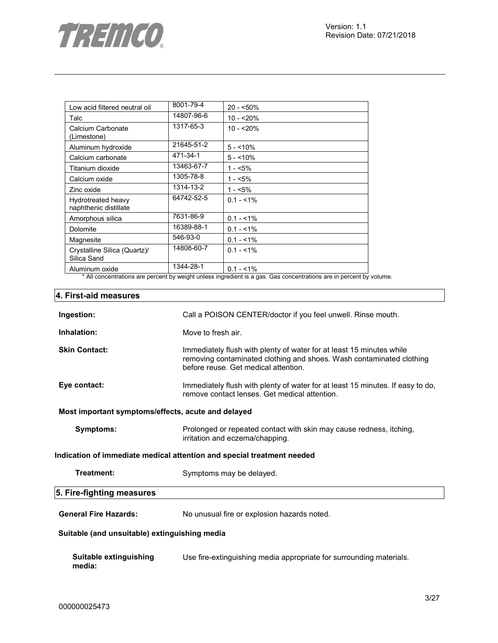

| Low acid filtered neutral oil                          | 8001-79-4  | $20 - 50\%$                                                                                                                                                                                                                                                                                                       |
|--------------------------------------------------------|------------|-------------------------------------------------------------------------------------------------------------------------------------------------------------------------------------------------------------------------------------------------------------------------------------------------------------------|
| Talc                                                   | 14807-96-6 | $10 - 20%$                                                                                                                                                                                                                                                                                                        |
| Calcium Carbonate<br>(Limestone)                       | 1317-65-3  | $10 - 20%$                                                                                                                                                                                                                                                                                                        |
| Aluminum hydroxide                                     | 21645-51-2 | $5 - 10%$                                                                                                                                                                                                                                                                                                         |
| Calcium carbonate                                      | 471-34-1   | $5 - 10%$                                                                                                                                                                                                                                                                                                         |
| Titanium dioxide                                       | 13463-67-7 | $1 - 5\%$                                                                                                                                                                                                                                                                                                         |
| Calcium oxide                                          | 1305-78-8  | $1 - 5%$                                                                                                                                                                                                                                                                                                          |
| Zinc oxide                                             | 1314-13-2  | $1 - 5%$                                                                                                                                                                                                                                                                                                          |
| Hydrotreated heavy<br>naphthenic distillate            | 64742-52-5 | $0.1 - 1\%$                                                                                                                                                                                                                                                                                                       |
| Amorphous silica                                       | 7631-86-9  | $0.1 - 1\%$                                                                                                                                                                                                                                                                                                       |
| Dolomite                                               | 16389-88-1 | $0.1 - 1\%$                                                                                                                                                                                                                                                                                                       |
| Magnesite                                              | 546-93-0   | $0.1 - 1\%$                                                                                                                                                                                                                                                                                                       |
| Crystalline Silica (Quartz)/<br>Silica Sand            | 14808-60-7 | $0.1 - 1\%$                                                                                                                                                                                                                                                                                                       |
| Aluminum oxide<br>$\bullet$ All compositions $\bullet$ | 1344-28-1  | $0.1 - 1\%$<br>والمسامر والمداري والمراجع والقصولة والمراجع<br>Album and a bat made a contract the series of the contract of the series of the series of the series of the series of the series of the series of the series of the series of the series of the series of the series of the se<br>المتحدث والمناسب |

All concentrations are percent by weight unless ingredient is a gas. Gas concentrations are in percent by volume.

# **4. First-aid measures**

| Ingestion:                                         | Call a POISON CENTER/doctor if you feel unwell. Rinse mouth.                                                                                                                         |
|----------------------------------------------------|--------------------------------------------------------------------------------------------------------------------------------------------------------------------------------------|
| Inhalation:                                        | Move to fresh air.                                                                                                                                                                   |
| <b>Skin Contact:</b>                               | Immediately flush with plenty of water for at least 15 minutes while<br>removing contaminated clothing and shoes. Wash contaminated clothing<br>before reuse. Get medical attention. |
| Eye contact:                                       | Immediately flush with plenty of water for at least 15 minutes. If easy to do,<br>remove contact lenses. Get medical attention.                                                      |
| Most important symptoms/effects, acute and delayed |                                                                                                                                                                                      |
| Symptoms:                                          | Prolonged or repeated contact with skin may cause redness, itching,<br>irritation and eczema/chapping.                                                                               |
|                                                    | Indication of immediate medical attention and special treatment needed                                                                                                               |
| Treatment:                                         | Symptoms may be delayed.                                                                                                                                                             |
| 5. Fire-fighting measures                          |                                                                                                                                                                                      |
| <b>General Fire Hazards:</b>                       | No unusual fire or explosion hazards noted.                                                                                                                                          |
| Suitable (and unsuitable) extinguishing media      |                                                                                                                                                                                      |
| Suitable extinguishing<br>media:                   | Use fire-extinguishing media appropriate for surrounding materials.                                                                                                                  |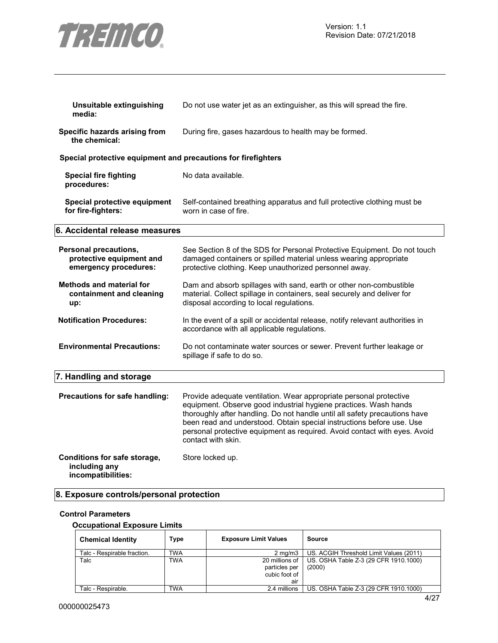

| Unsuitable extinguishing<br>media:                                         | Do not use water jet as an extinguisher, as this will spread the fire.                                                                                                                                                                                                                                                                                                                           |
|----------------------------------------------------------------------------|--------------------------------------------------------------------------------------------------------------------------------------------------------------------------------------------------------------------------------------------------------------------------------------------------------------------------------------------------------------------------------------------------|
| Specific hazards arising from<br>the chemical:                             | During fire, gases hazardous to health may be formed.                                                                                                                                                                                                                                                                                                                                            |
| Special protective equipment and precautions for firefighters              |                                                                                                                                                                                                                                                                                                                                                                                                  |
| <b>Special fire fighting</b><br>procedures:                                | No data available.                                                                                                                                                                                                                                                                                                                                                                               |
| Special protective equipment<br>for fire-fighters:                         | Self-contained breathing apparatus and full protective clothing must be<br>worn in case of fire.                                                                                                                                                                                                                                                                                                 |
| 6. Accidental release measures                                             |                                                                                                                                                                                                                                                                                                                                                                                                  |
| Personal precautions,<br>protective equipment and<br>emergency procedures: | See Section 8 of the SDS for Personal Protective Equipment. Do not touch<br>damaged containers or spilled material unless wearing appropriate<br>protective clothing. Keep unauthorized personnel away.                                                                                                                                                                                          |
| <b>Methods and material for</b><br>containment and cleaning<br>up:         | Dam and absorb spillages with sand, earth or other non-combustible<br>material. Collect spillage in containers, seal securely and deliver for<br>disposal according to local regulations.                                                                                                                                                                                                        |
| <b>Notification Procedures:</b>                                            | In the event of a spill or accidental release, notify relevant authorities in<br>accordance with all applicable regulations.                                                                                                                                                                                                                                                                     |
| <b>Environmental Precautions:</b>                                          | Do not contaminate water sources or sewer. Prevent further leakage or<br>spillage if safe to do so.                                                                                                                                                                                                                                                                                              |
| 7. Handling and storage                                                    |                                                                                                                                                                                                                                                                                                                                                                                                  |
| Precautions for safe handling:                                             | Provide adequate ventilation. Wear appropriate personal protective<br>equipment. Observe good industrial hygiene practices. Wash hands<br>thoroughly after handling. Do not handle until all safety precautions have<br>been read and understood. Obtain special instructions before use. Use<br>personal protective equipment as required. Avoid contact with eyes. Avoid<br>contact with skin. |
| Conditions for safe storage,<br>including any<br>incompatibilities:        | Store locked up.                                                                                                                                                                                                                                                                                                                                                                                 |

# **8. Exposure controls/personal protection**

# **Control Parameters**

# **Occupational Exposure Limits**

| <b>Chemical Identity</b>    | Type       | <b>Exposure Limit Values</b>                            | Source                                          |
|-----------------------------|------------|---------------------------------------------------------|-------------------------------------------------|
| Talc - Respirable fraction. | <b>TWA</b> | $2 \text{ ma/m}$ 3                                      | US. ACGIH Threshold Limit Values (2011)         |
| Talc                        | <b>TWA</b> | 20 millions of<br>particles per<br>cubic foot of<br>air | US. OSHA Table Z-3 (29 CFR 1910.1000)<br>(2000) |
| Talc - Respirable.          | TWA        | 2.4 millions                                            | US. OSHA Table Z-3 (29 CFR 1910.1000)           |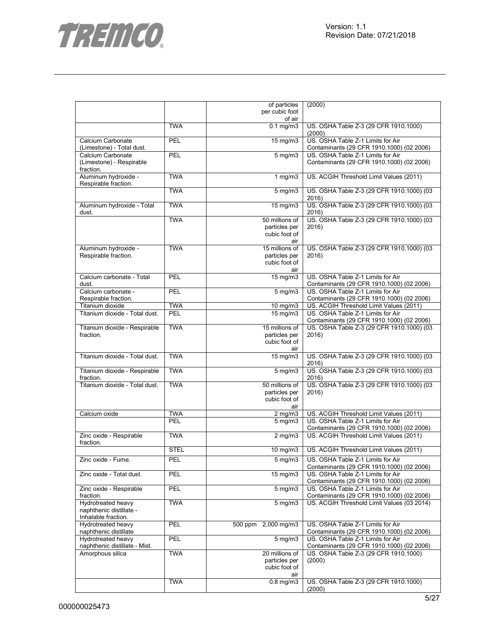

|                                                |                   | of particles<br>per cubic foot   | (2000)                                                                         |
|------------------------------------------------|-------------------|----------------------------------|--------------------------------------------------------------------------------|
|                                                |                   | of air                           |                                                                                |
|                                                | <b>TWA</b>        | $\overline{0.1}$ mg/m3           | US. OSHA Table Z-3 (29 CFR 1910.1000)<br>(2000)                                |
| Calcium Carbonate<br>(Limestone) - Total dust. | PEL               | $15$ mg/m $3$                    | US. OSHA Table Z-1 Limits for Air<br>Contaminants (29 CFR 1910.1000) (02 2006) |
| Calcium Carbonate                              | PEL               | $\overline{5}$ mg/m3             | US. OSHA Table Z-1 Limits for Air                                              |
| (Limestone) - Respirable<br>fraction.          |                   |                                  | Contaminants (29 CFR 1910.1000) (02 2006)                                      |
| Aluminum hydroxide -<br>Respirable fraction.   | <b>TWA</b>        | $1$ mg/m $3$                     | US. ACGIH Threshold Limit Values (2011)                                        |
|                                                | <b>TWA</b>        | 5 mg/m3                          | US. OSHA Table Z-3 (29 CFR 1910.1000) (03<br>2016)                             |
| Aluminum hydroxide - Total<br>dust.            | <b>TWA</b>        | 15 mg/m3                         | US. OSHA Table Z-3 (29 CFR 1910.1000) (03<br>2016)                             |
|                                                | <b>TWA</b>        | 50 millions of                   | US. OSHA Table Z-3 (29 CFR 1910.1000) (03                                      |
|                                                |                   | particles per<br>cubic foot of   | 2016)                                                                          |
|                                                |                   | air                              |                                                                                |
| Aluminum hydroxide -                           | <b>TWA</b>        | 15 millions of                   | US. OSHA Table Z-3 (29 CFR 1910.1000) (03                                      |
| Respirable fraction.                           |                   | particles per                    | 2016)                                                                          |
|                                                |                   | cubic foot of                    |                                                                                |
|                                                |                   | air                              |                                                                                |
| Calcium carbonate - Total<br>dust.             | PEL               | 15 mg/m3                         | US. OSHA Table Z-1 Limits for Air<br>Contaminants (29 CFR 1910.1000) (02 2006) |
| Calcium carbonate -<br>Respirable fraction.    | PEL               | $\overline{5}$ mg/m3             | US. OSHA Table Z-1 Limits for Air<br>Contaminants (29 CFR 1910.1000) (02 2006) |
| Titanium dioxide                               | <b>TWA</b>        | $10 \text{ mg/m}$                | US. ACGIH Threshold Limit Values (2011)                                        |
| Titanium dioxide - Total dust.                 | PEL               | 15 mg/m3                         | US. OSHA Table Z-1 Limits for Air                                              |
|                                                |                   |                                  | Contaminants (29 CFR 1910.1000) (02 2006)                                      |
| Titanium dioxide - Respirable                  | <b>TWA</b>        | 15 millions of                   | US. OSHA Table Z-3 (29 CFR 1910.1000) (03                                      |
| fraction.                                      |                   | particles per                    | 2016)                                                                          |
|                                                |                   | cubic foot of<br>air             |                                                                                |
| Titanium dioxide - Total dust.                 | <b>TWA</b>        | 15 mg/m3                         | US. OSHA Table Z-3 (29 CFR 1910.1000) (03<br>2016)                             |
| Titanium dioxide - Respirable<br>fraction.     | <b>TWA</b>        | 5 mg/m3                          | US. OSHA Table Z-3 (29 CFR 1910.1000) (03<br>2016)                             |
| Titanium dioxide - Total dust.                 | <b>TWA</b>        | 50 millions of                   | US. OSHA Table Z-3 (29 CFR 1910.1000) (03                                      |
|                                                |                   | particles per                    | 2016)                                                                          |
|                                                |                   | cubic foot of                    |                                                                                |
|                                                |                   | air                              |                                                                                |
| Calcium oxide                                  | <b>TWA</b><br>PEL | $2$ mg/m $3$<br>$5 \text{ mg/m}$ | US. ACGIH Threshold Limit Values (2011)<br>US. OSHA Table Z-1 Limits for Air   |
|                                                |                   |                                  | Contaminants (29 CFR 1910.1000) (02 2006)                                      |
| Zinc oxide - Respirable<br>fraction.           | <b>TWA</b>        | $2 \overline{\text{mg}}$ m3      | US. ACGIH Threshold Limit Values (2011)                                        |
|                                                | <b>STEL</b>       | 10 mg/m3                         | US. ACGIH Threshold Limit Values (2011)                                        |
| Zinc oxide - Fume.                             | PEL               | $5$ mg/m $3$                     | US. OSHA Table Z-1 Limits for Air<br>Contaminants (29 CFR 1910.1000) (02 2006) |
| Zinc oxide - Total dust.                       | PEL               | $\overline{15}$ mg/m3            | US. OSHA Table Z-1 Limits for Air<br>Contaminants (29 CFR 1910.1000) (02 2006) |
| Zinc oxide - Respirable<br>fraction.           | PEL               | $5$ mg/m $3$                     | US. OSHA Table Z-1 Limits for Air<br>Contaminants (29 CFR 1910.1000) (02 2006) |
| Hydrotreated heavy                             | <b>TWA</b>        | $5$ mg/m $3$                     | US. ACGIH Threshold Limit Values (03 2014)                                     |
| naphthenic distillate -                        |                   |                                  |                                                                                |
| Inhalable fraction.                            |                   |                                  |                                                                                |
| Hydrotreated heavy<br>naphthenic distillate    | PEL               | 500 ppm 2,000 mg/m3              | US. OSHA Table Z-1 Limits for Air<br>Contaminants (29 CFR 1910.1000) (02 2006) |
| Hydrotreated heavy                             | PEL               | $5$ mg/m $3$                     | US. OSHA Table Z-1 Limits for Air                                              |
| naphthenic distillate - Mist.                  |                   |                                  | Contaminants (29 CFR 1910.1000) (02 2006)                                      |
| Amorphous silica                               | <b>TWA</b>        | 20 millions of                   | US. OSHA Table Z-3 (29 CFR 1910.1000)                                          |
|                                                |                   | particles per                    | (2000)                                                                         |
|                                                |                   | cubic foot of                    |                                                                                |
|                                                |                   | air                              |                                                                                |
|                                                | <b>TWA</b>        | $0.8$ mg/m $3$                   | US. OSHA Table Z-3 (29 CFR 1910.1000)<br>(2000)                                |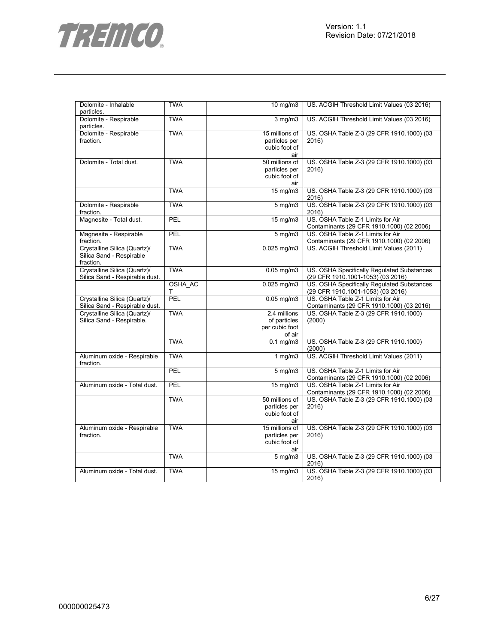

| Dolomite - Inhalable<br>particles.                                    | TWA          | 10 $mg/m3$                                               | US. ACGIH Threshold Limit Values (03 2016)                                      |
|-----------------------------------------------------------------------|--------------|----------------------------------------------------------|---------------------------------------------------------------------------------|
| Dolomite - Respirable<br>particles.                                   | <b>TWA</b>   | $3$ mg/m $3$                                             | US. ACGIH Threshold Limit Values (03 2016)                                      |
| Dolomite - Respirable<br>fraction.                                    | <b>TWA</b>   | 15 millions of<br>particles per<br>cubic foot of<br>air  | US. OSHA Table Z-3 (29 CFR 1910.1000) (03<br>2016)                              |
| Dolomite - Total dust.                                                | <b>TWA</b>   | 50 millions of<br>particles per<br>cubic foot of<br>air  | US. OSHA Table Z-3 (29 CFR 1910.1000) (03<br>2016)                              |
|                                                                       | <b>TWA</b>   | 15 mg/m3                                                 | US. OSHA Table Z-3 (29 CFR 1910.1000) (03<br>2016)                              |
| Dolomite - Respirable<br>fraction.                                    | <b>TWA</b>   | $5 \text{ mg/m}$                                         | US. OSHA Table Z-3 (29 CFR 1910.1000) (03<br>2016)                              |
| Magnesite - Total dust.                                               | <b>PEL</b>   | 15 mg/m3                                                 | US. OSHA Table Z-1 Limits for Air<br>Contaminants (29 CFR 1910.1000) (02 2006)  |
| Magnesite - Respirable<br>fraction.                                   | <b>PEL</b>   | $5 \,\mathrm{mg/m}$                                      | US. OSHA Table Z-1 Limits for Air<br>Contaminants (29 CFR 1910.1000) (02 2006)  |
| Crystalline Silica (Quartz)/<br>Silica Sand - Respirable<br>fraction. | <b>TWA</b>   | $0.025$ mg/m $3$                                         | US. ACGIH Threshold Limit Values (2011)                                         |
| Crystalline Silica (Quartz)/<br>Silica Sand - Respirable dust.        | <b>TWA</b>   | $0.05$ mg/m $3$                                          | US. OSHA Specifically Regulated Substances<br>(29 CFR 1910.1001-1053) (03 2016) |
|                                                                       | OSHA_AC<br>Т | 0.025 mg/m3                                              | US. OSHA Specifically Regulated Substances<br>(29 CFR 1910.1001-1053) (03 2016) |
| Crystalline Silica (Quartz)/<br>Silica Sand - Respirable dust.        | PEL          | $0.05$ mg/m3                                             | US. OSHA Table Z-1 Limits for Air<br>Contaminants (29 CFR 1910.1000) (03 2016)  |
| Crystalline Silica (Quartz)/<br>Silica Sand - Respirable.             | <b>TWA</b>   | 2.4 millions<br>of particles<br>per cubic foot<br>of air | US. OSHA Table Z-3 (29 CFR 1910.1000)<br>(2000)                                 |
|                                                                       | <b>TWA</b>   | $0.1$ mg/m3                                              | US. OSHA Table Z-3 (29 CFR 1910.1000)<br>(2000)                                 |
| Aluminum oxide - Respirable<br>fraction.                              | <b>TWA</b>   | 1 $mg/m3$                                                | US. ACGIH Threshold Limit Values (2011)                                         |
|                                                                       | PEL          | $5 \overline{\mathrm{mg}}$ m3                            | US. OSHA Table Z-1 Limits for Air<br>Contaminants (29 CFR 1910.1000) (02 2006)  |
| Aluminum oxide - Total dust.                                          | PEL          | 15 mg/m3                                                 | US. OSHA Table Z-1 Limits for Air<br>Contaminants (29 CFR 1910.1000) (02 2006)  |
|                                                                       | <b>TWA</b>   | 50 millions of<br>particles per<br>cubic foot of<br>air  | US. OSHA Table Z-3 (29 CFR 1910.1000) (03<br>2016)                              |
| Aluminum oxide - Respirable<br>fraction.                              | <b>TWA</b>   | 15 millions of<br>particles per<br>cubic foot of<br>air  | US. OSHA Table Z-3 (29 CFR 1910.1000) (03<br>2016)                              |
|                                                                       | <b>TWA</b>   | $5 \text{ mg/m}$                                         | US. OSHA Table Z-3 (29 CFR 1910.1000) (03<br>2016)                              |
| Aluminum oxide - Total dust.                                          | <b>TWA</b>   | 15 mg/m3                                                 | US. OSHA Table Z-3 (29 CFR 1910.1000) (03<br>2016)                              |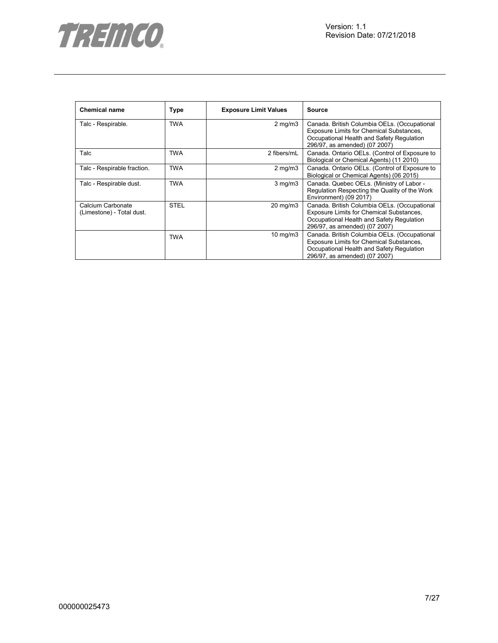

| <b>Chemical name</b>                           | <b>Type</b> | <b>Exposure Limit Values</b> | <b>Source</b>                                                                                                                                                          |
|------------------------------------------------|-------------|------------------------------|------------------------------------------------------------------------------------------------------------------------------------------------------------------------|
| Talc - Respirable.                             | <b>TWA</b>  | $2 \text{ mg/m}$             | Canada. British Columbia OELs. (Occupational<br>Exposure Limits for Chemical Substances,<br>Occupational Health and Safety Regulation<br>296/97, as amended) (07 2007) |
| Talc                                           | TWA         | 2 fibers/mL                  | Canada. Ontario OELs. (Control of Exposure to<br>Biological or Chemical Agents) (11 2010)                                                                              |
| Talc - Respirable fraction.                    | <b>TWA</b>  | $2$ mg/m $3$                 | Canada. Ontario OELs. (Control of Exposure to<br>Biological or Chemical Agents) (06 2015)                                                                              |
| Talc - Respirable dust.                        | TWA         | $3$ mg/m $3$                 | Canada. Quebec OELs. (Ministry of Labor -<br>Regulation Respecting the Quality of the Work<br>Environment) (09 2017)                                                   |
| Calcium Carbonate<br>(Limestone) - Total dust. | <b>STEL</b> | 20 mg/m3                     | Canada. British Columbia OELs. (Occupational<br>Exposure Limits for Chemical Substances,<br>Occupational Health and Safety Regulation<br>296/97, as amended) (07 2007) |
|                                                | <b>TWA</b>  | $10 \text{ mg/m}$            | Canada. British Columbia OELs. (Occupational<br>Exposure Limits for Chemical Substances,<br>Occupational Health and Safety Regulation<br>296/97, as amended) (07 2007) |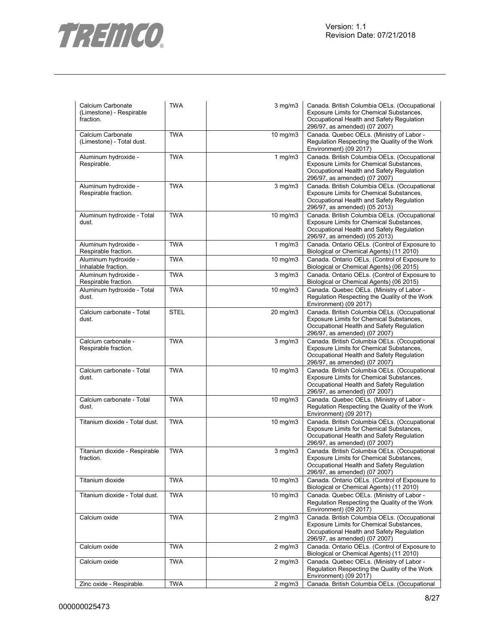

| Calcium Carbonate<br>(Limestone) - Respirable<br>fraction. | <b>TWA</b>  | $3$ mg/m $3$      | Canada. British Columbia OELs. (Occupational<br>Exposure Limits for Chemical Substances,<br>Occupational Health and Safety Regulation<br>296/97, as amended) (07 2007) |
|------------------------------------------------------------|-------------|-------------------|------------------------------------------------------------------------------------------------------------------------------------------------------------------------|
| Calcium Carbonate<br>(Limestone) - Total dust.             | <b>TWA</b>  | 10 mg/m3          | Canada. Quebec OELs. (Ministry of Labor -<br>Regulation Respecting the Quality of the Work<br>Environment) (09 2017)                                                   |
| Aluminum hydroxide -<br>Respirable.                        | <b>TWA</b>  | 1 mg/m $3$        | Canada. British Columbia OELs. (Occupational<br>Exposure Limits for Chemical Substances,<br>Occupational Health and Safety Regulation<br>296/97, as amended) (07 2007) |
| Aluminum hydroxide -<br>Respirable fraction.               | <b>TWA</b>  | $3$ mg/m $3$      | Canada. British Columbia OELs. (Occupational<br>Exposure Limits for Chemical Substances,<br>Occupational Health and Safety Regulation<br>296/97, as amended) (05 2013) |
| Aluminum hydroxide - Total<br>dust.                        | <b>TWA</b>  | 10 mg/m3          | Canada. British Columbia OELs. (Occupational<br>Exposure Limits for Chemical Substances,<br>Occupational Health and Safety Regulation<br>296/97, as amended) (05 2013) |
| Aluminum hydroxide -<br>Respirable fraction.               | <b>TWA</b>  | 1 mg/m $3$        | Canada. Ontario OELs. (Control of Exposure to<br>Biological or Chemical Agents) (11 2010)                                                                              |
| Aluminum hydroxide -<br>Inhalable fraction.                | <b>TWA</b>  | 10 $mg/m3$        | Canada. Ontario OELs. (Control of Exposure to<br>Biological or Chemical Agents) (06 2015)                                                                              |
| Aluminum hydroxide -<br>Respirable fraction.               | <b>TWA</b>  | $3$ mg/m $3$      | Canada. Ontario OELs. (Control of Exposure to<br>Biological or Chemical Agents) (06 2015)                                                                              |
| Aluminum hydroxide - Total<br>dust.                        | <b>TWA</b>  | $10 \text{ mg/m}$ | Canada. Quebec OELs. (Ministry of Labor -<br>Regulation Respecting the Quality of the Work<br>Environment) (09 2017)                                                   |
| Calcium carbonate - Total<br>dust.                         | <b>STEL</b> | 20 mg/m3          | Canada. British Columbia OELs. (Occupational<br>Exposure Limits for Chemical Substances,<br>Occupational Health and Safety Regulation<br>296/97, as amended) (07 2007) |
| Calcium carbonate -<br>Respirable fraction.                | <b>TWA</b>  | $3$ mg/m $3$      | Canada. British Columbia OELs. (Occupational<br>Exposure Limits for Chemical Substances,<br>Occupational Health and Safety Regulation<br>296/97, as amended) (07 2007) |
| Calcium carbonate - Total<br>dust.                         | <b>TWA</b>  | $10$ mg/m $3$     | Canada. British Columbia OELs. (Occupational<br>Exposure Limits for Chemical Substances,<br>Occupational Health and Safety Regulation<br>296/97, as amended) (07 2007) |
| Calcium carbonate - Total<br>dust.                         | <b>TWA</b>  | $10$ mg/m $3$     | Canada. Quebec OELs. (Ministry of Labor -<br>Regulation Respecting the Quality of the Work<br>Environment) (09 2017)                                                   |
| Titanium dioxide - Total dust.                             | <b>TWA</b>  | 10 mg/m3          | Canada. British Columbia OELs. (Occupational<br>Exposure Limits for Chemical Substances,<br>Occupational Health and Safety Regulation<br>296/97, as amended) (07 2007) |
| Titanium dioxide - Respirable<br>fraction.                 | <b>TWA</b>  | $3$ mg/m $3$      | Canada. British Columbia OELs. (Occupational<br>Exposure Limits for Chemical Substances,<br>Occupational Health and Safety Regulation<br>296/97, as amended) (07 2007) |
| Titanium dioxide                                           | <b>TWA</b>  | 10 mg/m3          | Canada. Ontario OELs. (Control of Exposure to<br>Biological or Chemical Agents) (11 2010)                                                                              |
| Titanium dioxide - Total dust.                             | <b>TWA</b>  | 10 mg/m3          | Canada. Quebec OELs. (Ministry of Labor -<br>Regulation Respecting the Quality of the Work<br>Environment) (09 2017)                                                   |
| Calcium oxide                                              | <b>TWA</b>  | $2$ mg/m $3$      | Canada. British Columbia OELs. (Occupational<br>Exposure Limits for Chemical Substances,<br>Occupational Health and Safety Regulation<br>296/97, as amended) (07 2007) |
| Calcium oxide                                              | <b>TWA</b>  | $2$ mg/m $3$      | Canada. Ontario OELs. (Control of Exposure to<br>Biological or Chemical Agents) (11 2010)                                                                              |
| Calcium oxide                                              | <b>TWA</b>  | $2$ mg/m $3$      | Canada. Quebec OELs. (Ministry of Labor -<br>Regulation Respecting the Quality of the Work<br>Environment) (09 2017)                                                   |
| Zinc oxide - Respirable.                                   | <b>TWA</b>  | $2$ mg/m $3$      | Canada. British Columbia OELs. (Occupational                                                                                                                           |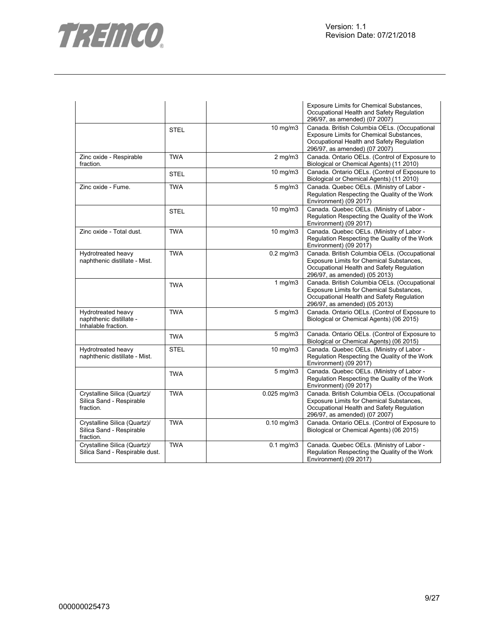

|                                                                       |             |                  | Exposure Limits for Chemical Substances,<br>Occupational Health and Safety Regulation<br>296/97, as amended) (07 2007)                                                 |
|-----------------------------------------------------------------------|-------------|------------------|------------------------------------------------------------------------------------------------------------------------------------------------------------------------|
|                                                                       | <b>STEL</b> | 10 mg/m3         | Canada. British Columbia OELs. (Occupational<br>Exposure Limits for Chemical Substances,<br>Occupational Health and Safety Regulation<br>296/97, as amended) (07 2007) |
| Zinc oxide - Respirable<br>fraction.                                  | <b>TWA</b>  | $2$ mg/m $3$     | Canada. Ontario OELs. (Control of Exposure to<br>Biological or Chemical Agents) (11 2010)                                                                              |
|                                                                       | <b>STEL</b> | 10 mg/m3         | Canada. Ontario OELs. (Control of Exposure to<br>Biological or Chemical Agents) (11 2010)                                                                              |
| Zinc oxide - Fume.                                                    | <b>TWA</b>  | $5 \text{ mg/m}$ | Canada. Quebec OELs. (Ministry of Labor -<br>Regulation Respecting the Quality of the Work<br>Environment) (09 2017)                                                   |
|                                                                       | <b>STEL</b> | 10 mg/m3         | Canada. Quebec OELs. (Ministry of Labor -<br>Regulation Respecting the Quality of the Work<br>Environment) (09 2017)                                                   |
| Zinc oxide - Total dust.                                              | <b>TWA</b>  | $10$ mg/m $3$    | Canada. Quebec OELs. (Ministry of Labor -<br>Regulation Respecting the Quality of the Work<br>Environment) (09 2017)                                                   |
| Hydrotreated heavy<br>naphthenic distillate - Mist.                   | <b>TWA</b>  | $0.2$ mg/m $3$   | Canada. British Columbia OELs. (Occupational<br>Exposure Limits for Chemical Substances,<br>Occupational Health and Safety Regulation<br>296/97, as amended) (05 2013) |
|                                                                       | <b>TWA</b>  | 1 $mg/m3$        | Canada. British Columbia OELs. (Occupational<br>Exposure Limits for Chemical Substances,<br>Occupational Health and Safety Regulation<br>296/97, as amended) (05 2013) |
| Hydrotreated heavy<br>naphthenic distillate -<br>Inhalable fraction.  | <b>TWA</b>  | $5$ mg/m $3$     | Canada. Ontario OELs. (Control of Exposure to<br>Biological or Chemical Agents) (06 2015)                                                                              |
|                                                                       | <b>TWA</b>  | $5$ mg/m $3$     | Canada. Ontario OELs. (Control of Exposure to<br>Biological or Chemical Agents) (06 2015)                                                                              |
| Hydrotreated heavy<br>naphthenic distillate - Mist.                   | <b>STEL</b> | $10$ mg/m $3$    | Canada. Quebec OELs. (Ministry of Labor -<br>Regulation Respecting the Quality of the Work<br>Environment) (09 2017)                                                   |
|                                                                       | <b>TWA</b>  | $5$ mg/m $3$     | Canada. Quebec OELs. (Ministry of Labor -<br>Regulation Respecting the Quality of the Work<br>Environment) (09 2017)                                                   |
| Crystalline Silica (Quartz)/<br>Silica Sand - Respirable<br>fraction. | <b>TWA</b>  | $0.025$ mg/m $3$ | Canada. British Columbia OELs. (Occupational<br>Exposure Limits for Chemical Substances,<br>Occupational Health and Safety Regulation<br>296/97, as amended) (07 2007) |
| Crystalline Silica (Quartz)/<br>Silica Sand - Respirable<br>fraction. | <b>TWA</b>  | $0.10$ mg/m $3$  | Canada. Ontario OELs. (Control of Exposure to<br>Biological or Chemical Agents) (06 2015)                                                                              |
| Crystalline Silica (Quartz)/<br>Silica Sand - Respirable dust.        | <b>TWA</b>  | $0.1$ mg/m $3$   | Canada. Quebec OELs. (Ministry of Labor -<br>Regulation Respecting the Quality of the Work<br>Environment) (09 2017)                                                   |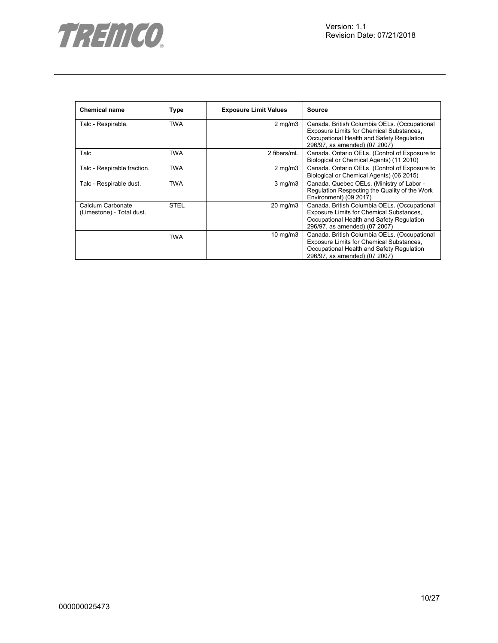

| <b>Chemical name</b>                           | <b>Type</b> | <b>Exposure Limit Values</b> | <b>Source</b>                                                                                                                                                          |
|------------------------------------------------|-------------|------------------------------|------------------------------------------------------------------------------------------------------------------------------------------------------------------------|
| Talc - Respirable.                             | <b>TWA</b>  | $2 \text{ mg/m}$             | Canada. British Columbia OELs. (Occupational<br>Exposure Limits for Chemical Substances,<br>Occupational Health and Safety Regulation<br>296/97, as amended) (07 2007) |
| Talc                                           | TWA         | 2 fibers/mL                  | Canada. Ontario OELs. (Control of Exposure to<br>Biological or Chemical Agents) (11 2010)                                                                              |
| Talc - Respirable fraction.                    | <b>TWA</b>  | $2$ mg/m $3$                 | Canada. Ontario OELs. (Control of Exposure to<br>Biological or Chemical Agents) (06 2015)                                                                              |
| Talc - Respirable dust.                        | TWA         | $3$ mg/m $3$                 | Canada. Quebec OELs. (Ministry of Labor -<br>Regulation Respecting the Quality of the Work<br>Environment) (09 2017)                                                   |
| Calcium Carbonate<br>(Limestone) - Total dust. | <b>STEL</b> | 20 mg/m3                     | Canada. British Columbia OELs. (Occupational<br>Exposure Limits for Chemical Substances,<br>Occupational Health and Safety Regulation<br>296/97, as amended) (07 2007) |
|                                                | <b>TWA</b>  | $10 \text{ mg/m}$            | Canada. British Columbia OELs. (Occupational<br>Exposure Limits for Chemical Substances,<br>Occupational Health and Safety Regulation<br>296/97, as amended) (07 2007) |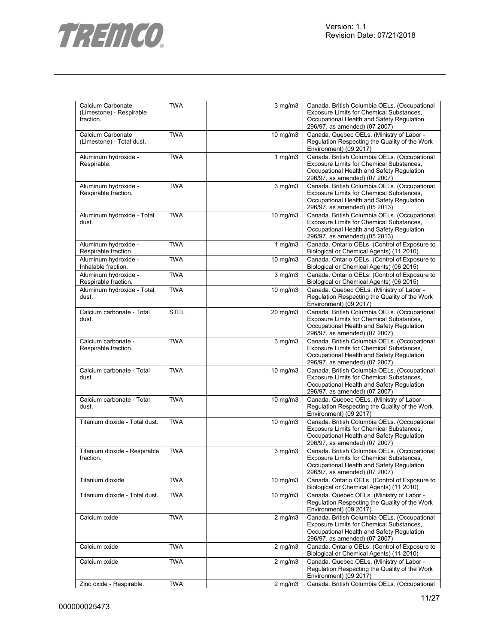

| Calcium Carbonate<br>(Limestone) - Respirable<br>fraction. | <b>TWA</b>  | $3$ mg/m $3$      | Canada. British Columbia OELs. (Occupational<br>Exposure Limits for Chemical Substances,<br>Occupational Health and Safety Regulation<br>296/97, as amended) (07 2007)        |
|------------------------------------------------------------|-------------|-------------------|-------------------------------------------------------------------------------------------------------------------------------------------------------------------------------|
| Calcium Carbonate<br>(Limestone) - Total dust.             | <b>TWA</b>  | 10 mg/m3          | Canada. Quebec OELs. (Ministry of Labor -<br>Regulation Respecting the Quality of the Work<br>Environment) (09 2017)                                                          |
| Aluminum hydroxide -<br>Respirable.                        | <b>TWA</b>  | $1$ mg/m $3$      | Canada. British Columbia OELs. (Occupational<br>Exposure Limits for Chemical Substances,<br>Occupational Health and Safety Regulation<br>296/97, as amended) (07 2007)        |
| Aluminum hydroxide -<br>Respirable fraction.               | <b>TWA</b>  | $3$ mg/m $3$      | Canada. British Columbia OELs. (Occupational<br>Exposure Limits for Chemical Substances,<br>Occupational Health and Safety Regulation<br>296/97, as amended) (05 2013)        |
| Aluminum hydroxide - Total<br>dust.                        | <b>TWA</b>  | 10 mg/m3          | Canada. British Columbia OELs. (Occupational<br>Exposure Limits for Chemical Substances,<br>Occupational Health and Safety Regulation<br>296/97, as amended) (05 2013)        |
| Aluminum hydroxide -<br>Respirable fraction.               | <b>TWA</b>  | 1 $mg/m3$         | Canada. Ontario OELs. (Control of Exposure to<br>Biological or Chemical Agents) (11 2010)                                                                                     |
| Aluminum hydroxide -<br>Inhalable fraction.                | <b>TWA</b>  | 10 mg/m3          | Canada. Ontario OELs. (Control of Exposure to<br>Biological or Chemical Agents) (06 2015)                                                                                     |
| Aluminum hydroxide -<br>Respirable fraction.               | <b>TWA</b>  | $3$ mg/m $3$      | Canada. Ontario OELs. (Control of Exposure to<br>Biological or Chemical Agents) (06 2015)                                                                                     |
| Aluminum hydroxide - Total<br>dust.                        | <b>TWA</b>  | 10 mg/m3          | Canada. Quebec OELs. (Ministry of Labor -<br>Regulation Respecting the Quality of the Work<br>Environment) (09 2017)                                                          |
| Calcium carbonate - Total<br>dust.                         | <b>STEL</b> | 20 mg/m3          | Canada. British Columbia OELs. (Occupational<br><b>Exposure Limits for Chemical Substances,</b><br>Occupational Health and Safety Regulation<br>296/97, as amended) (07 2007) |
| Calcium carbonate -<br>Respirable fraction.                | <b>TWA</b>  | $3$ mg/m $3$      | Canada. British Columbia OELs. (Occupational<br>Exposure Limits for Chemical Substances,<br>Occupational Health and Safety Regulation<br>296/97, as amended) (07 2007)        |
| Calcium carbonate - Total<br>dust.                         | <b>TWA</b>  | 10 mg/m3          | Canada. British Columbia OELs. (Occupational<br>Exposure Limits for Chemical Substances,<br>Occupational Health and Safety Regulation<br>296/97, as amended) (07 2007)        |
| Calcium carbonate - Total<br>dust.                         | <b>TWA</b>  | $10 \text{ mg/m}$ | Canada. Quebec OELs. (Ministry of Labor -<br>Regulation Respecting the Quality of the Work<br>Environment) (09 2017)                                                          |
| Titanium dioxide - Total dust.                             | <b>TWA</b>  | 10 mg/m3          | Canada. British Columbia OELs. (Occupational<br><b>Exposure Limits for Chemical Substances,</b><br>Occupational Health and Safety Regulation<br>296/97, as amended) (07 2007) |
| Titanium dioxide - Respirable<br>fraction.                 | <b>TWA</b>  | $3$ mg/m $3$      | Canada. British Columbia OELs. (Occupational<br><b>Exposure Limits for Chemical Substances,</b><br>Occupational Health and Safety Regulation<br>296/97, as amended) (07 2007) |
| Titanium dioxide                                           | <b>TWA</b>  | $10 \text{ mg/m}$ | Canada. Ontario OELs. (Control of Exposure to<br>Biological or Chemical Agents) (11 2010)                                                                                     |
| Titanium dioxide - Total dust.                             | <b>TWA</b>  | $10$ mg/m $3$     | Canada. Quebec OELs. (Ministry of Labor -<br>Regulation Respecting the Quality of the Work<br>Environment) (09 2017)                                                          |
| Calcium oxide                                              | <b>TWA</b>  | $2$ mg/m $3$      | Canada. British Columbia OELs. (Occupational<br><b>Exposure Limits for Chemical Substances,</b><br>Occupational Health and Safety Regulation<br>296/97, as amended) (07 2007) |
| Calcium oxide                                              | <b>TWA</b>  | $2$ mg/m $3$      | Canada. Ontario OELs. (Control of Exposure to<br>Biological or Chemical Agents) (11 2010)                                                                                     |
| Calcium oxide                                              | <b>TWA</b>  | $2$ mg/m $3$      | Canada. Quebec OELs. (Ministry of Labor -<br>Regulation Respecting the Quality of the Work<br>Environment) (09 2017)                                                          |
| Zinc oxide - Respirable.                                   | <b>TWA</b>  | $2$ mg/m $3$      | Canada. British Columbia OELs. (Occupational                                                                                                                                  |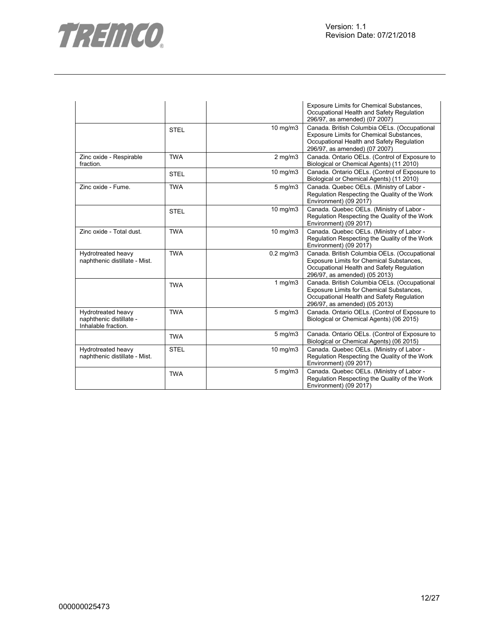

|                                                                      |             |                | <b>Exposure Limits for Chemical Substances,</b><br>Occupational Health and Safety Regulation<br>296/97, as amended) (07 2007)                                          |
|----------------------------------------------------------------------|-------------|----------------|------------------------------------------------------------------------------------------------------------------------------------------------------------------------|
|                                                                      | <b>STEL</b> | 10 mg/m3       | Canada. British Columbia OELs. (Occupational<br>Exposure Limits for Chemical Substances,<br>Occupational Health and Safety Regulation<br>296/97, as amended) (07 2007) |
| Zinc oxide - Respirable<br>fraction.                                 | <b>TWA</b>  | $2$ mg/m $3$   | Canada. Ontario OELs. (Control of Exposure to<br>Biological or Chemical Agents) (11 2010)                                                                              |
|                                                                      | <b>STEL</b> | 10 mg/m3       | Canada. Ontario OELs. (Control of Exposure to<br>Biological or Chemical Agents) (11 2010)                                                                              |
| Zinc oxide - Fume.                                                   | <b>TWA</b>  | $5$ mg/m $3$   | Canada. Quebec OELs. (Ministry of Labor -<br>Regulation Respecting the Quality of the Work<br>Environment) (09 2017)                                                   |
|                                                                      | <b>STEL</b> | 10 mg/m3       | Canada. Quebec OELs. (Ministry of Labor -<br>Regulation Respecting the Quality of the Work<br>Environment) (09 2017)                                                   |
| Zinc oxide - Total dust.                                             | <b>TWA</b>  | 10 mg/m3       | Canada. Quebec OELs. (Ministry of Labor -<br>Regulation Respecting the Quality of the Work<br>Environment) (09 2017)                                                   |
| Hydrotreated heavy<br>naphthenic distillate - Mist.                  | <b>TWA</b>  | $0.2$ mg/m $3$ | Canada. British Columbia OELs. (Occupational<br>Exposure Limits for Chemical Substances,<br>Occupational Health and Safety Regulation<br>296/97, as amended) (05 2013) |
|                                                                      | <b>TWA</b>  | 1 $mg/m3$      | Canada. British Columbia OELs. (Occupational<br>Exposure Limits for Chemical Substances,<br>Occupational Health and Safety Regulation<br>296/97, as amended) (05 2013) |
| Hydrotreated heavy<br>naphthenic distillate -<br>Inhalable fraction. | <b>TWA</b>  | $5$ mg/m $3$   | Canada. Ontario OELs. (Control of Exposure to<br>Biological or Chemical Agents) (06 2015)                                                                              |
|                                                                      | <b>TWA</b>  | 5 mg/m3        | Canada. Ontario OELs. (Control of Exposure to<br>Biological or Chemical Agents) (06 2015)                                                                              |
| Hydrotreated heavy<br>naphthenic distillate - Mist.                  | <b>STEL</b> | 10 mg/m3       | Canada. Quebec OELs. (Ministry of Labor -<br>Regulation Respecting the Quality of the Work<br>Environment) (09 2017)                                                   |
|                                                                      | <b>TWA</b>  | $5$ mg/m $3$   | Canada. Quebec OELs. (Ministry of Labor -<br>Regulation Respecting the Quality of the Work<br>Environment) (09 2017)                                                   |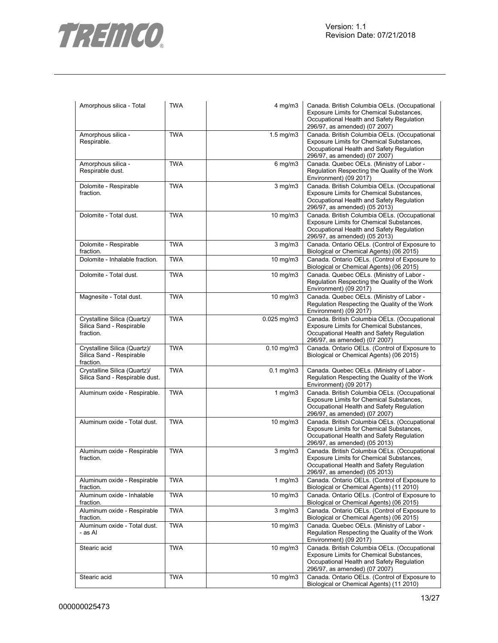

| Amorphous silica - Total                                              | <b>TWA</b> | $4$ mg/m $3$         | Canada. British Columbia OELs. (Occupational<br>Exposure Limits for Chemical Substances,<br>Occupational Health and Safety Regulation<br>296/97, as amended) (07 2007)        |
|-----------------------------------------------------------------------|------------|----------------------|-------------------------------------------------------------------------------------------------------------------------------------------------------------------------------|
| Amorphous silica -<br>Respirable.                                     | <b>TWA</b> | $1.5 \text{ mg/m}$ 3 | Canada. British Columbia OELs. (Occupational<br>Exposure Limits for Chemical Substances,<br>Occupational Health and Safety Regulation<br>296/97, as amended) (07 2007)        |
| Amorphous silica -<br>Respirable dust.                                | <b>TWA</b> | $6$ mg/m $3$         | Canada. Quebec OELs. (Ministry of Labor -<br>Regulation Respecting the Quality of the Work<br>Environment) (09 2017)                                                          |
| Dolomite - Respirable<br>fraction.                                    | <b>TWA</b> | $3$ mg/m $3$         | Canada. British Columbia OELs. (Occupational<br>Exposure Limits for Chemical Substances,<br>Occupational Health and Safety Regulation<br>296/97, as amended) (05 2013)        |
| Dolomite - Total dust.                                                | <b>TWA</b> | 10 mg/m3             | Canada. British Columbia OELs. (Occupational<br>Exposure Limits for Chemical Substances,<br>Occupational Health and Safety Regulation<br>296/97, as amended) (05 2013)        |
| Dolomite - Respirable<br>fraction.                                    | <b>TWA</b> | $3$ mg/m $3$         | Canada. Ontario OELs. (Control of Exposure to<br>Biological or Chemical Agents) (06 2015)                                                                                     |
| Dolomite - Inhalable fraction.                                        | <b>TWA</b> | $10$ mg/m $3$        | Canada. Ontario OELs. (Control of Exposure to<br>Biological or Chemical Agents) (06 2015)                                                                                     |
| Dolomite - Total dust.                                                | <b>TWA</b> | 10 mg/m3             | Canada. Quebec OELs. (Ministry of Labor -<br>Regulation Respecting the Quality of the Work<br>Environment) (09 2017)                                                          |
| Magnesite - Total dust.                                               | <b>TWA</b> | 10 mg/m3             | Canada. Quebec OELs. (Ministry of Labor -<br>Regulation Respecting the Quality of the Work<br>Environment) (09 2017)                                                          |
| Crystalline Silica (Quartz)/<br>Silica Sand - Respirable<br>fraction. | <b>TWA</b> | $0.025$ mg/m $3$     | Canada. British Columbia OELs. (Occupational<br>Exposure Limits for Chemical Substances,<br>Occupational Health and Safety Regulation<br>296/97, as amended) (07 2007)        |
| Crystalline Silica (Quartz)/<br>Silica Sand - Respirable<br>fraction. | <b>TWA</b> | $0.10$ mg/m $3$      | Canada. Ontario OELs. (Control of Exposure to<br>Biological or Chemical Agents) (06 2015)                                                                                     |
| Crystalline Silica (Quartz)/<br>Silica Sand - Respirable dust.        | <b>TWA</b> | $0.1$ mg/m $3$       | Canada. Quebec OELs. (Ministry of Labor -<br>Regulation Respecting the Quality of the Work<br>Environment) (09 2017)                                                          |
| Aluminum oxide - Respirable.                                          | <b>TWA</b> | 1 $mg/m3$            | Canada. British Columbia OELs. (Occupational<br>Exposure Limits for Chemical Substances,<br>Occupational Health and Safety Regulation<br>296/97, as amended) (07 2007)        |
| Aluminum oxide - Total dust.                                          | <b>TWA</b> | $10$ mg/m $3$        | Canada. British Columbia OELs. (Occupational<br>Exposure Limits for Chemical Substances,<br>Occupational Health and Safety Regulation<br>296/97, as amended) (05 2013)        |
| Aluminum oxide - Respirable<br>fraction.                              | <b>TWA</b> | $3$ mg/m $3$         | Canada. British Columbia OELs. (Occupational<br>Exposure Limits for Chemical Substances,<br>Occupational Health and Safety Regulation<br>296/97, as amended) (05 2013)        |
| Aluminum oxide - Respirable<br>fraction.                              | <b>TWA</b> | 1 $mg/m3$            | Canada. Ontario OELs. (Control of Exposure to<br>Biological or Chemical Agents) (11 2010)                                                                                     |
| Aluminum oxide - Inhalable<br>fraction.                               | <b>TWA</b> | 10 $mg/m3$           | Canada. Ontario OELs. (Control of Exposure to<br>Biological or Chemical Agents) (06 2015)                                                                                     |
| Aluminum oxide - Respirable<br>fraction.                              | <b>TWA</b> | $3$ mg/m $3$         | Canada. Ontario OELs. (Control of Exposure to<br>Biological or Chemical Agents) (06 2015)                                                                                     |
| Aluminum oxide - Total dust.<br>- as Al                               | <b>TWA</b> | 10 mg/m3             | Canada. Quebec OELs. (Ministry of Labor -<br>Regulation Respecting the Quality of the Work<br>Environment) (09 2017)                                                          |
| Stearic acid                                                          | <b>TWA</b> | $10$ mg/m $3$        | Canada. British Columbia OELs. (Occupational<br><b>Exposure Limits for Chemical Substances.</b><br>Occupational Health and Safety Regulation<br>296/97, as amended) (07 2007) |
| Stearic acid                                                          | <b>TWA</b> | $10$ mg/m $3$        | Canada. Ontario OELs. (Control of Exposure to<br>Biological or Chemical Agents) (11 2010)                                                                                     |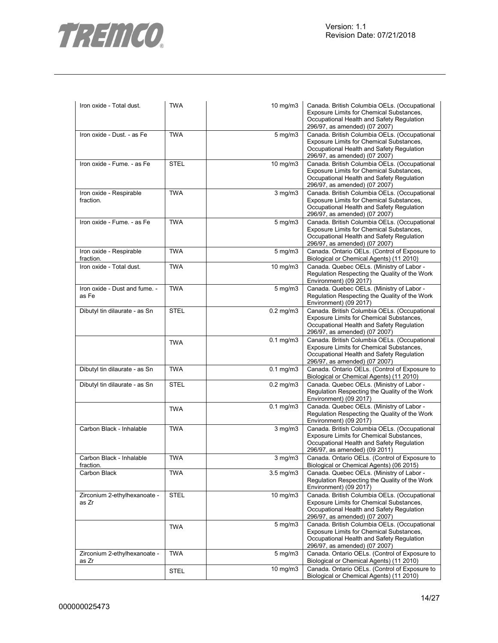

 $\mathbb{R}^2$ 

| Iron oxide - Total dust.               | <b>TWA</b>  | 10 mg/m3             | Canada. British Columbia OELs. (Occupational<br>Exposure Limits for Chemical Substances,<br>Occupational Health and Safety Regulation<br>296/97, as amended) (07 2007)        |
|----------------------------------------|-------------|----------------------|-------------------------------------------------------------------------------------------------------------------------------------------------------------------------------|
| Iron oxide - Dust. - as Fe             | <b>TWA</b>  | $5 \text{ mg/m}$ 3   | Canada. British Columbia OELs. (Occupational<br>Exposure Limits for Chemical Substances,<br>Occupational Health and Safety Regulation<br>296/97, as amended) (07 2007)        |
| Iron oxide - Fume. - as Fe             | <b>STEL</b> | $10 \text{ mg/m}$    | Canada. British Columbia OELs. (Occupational<br>Exposure Limits for Chemical Substances,<br>Occupational Health and Safety Regulation<br>296/97, as amended) (07 2007)        |
| Iron oxide - Respirable<br>fraction.   | <b>TWA</b>  | $3$ mg/m $3$         | Canada. British Columbia OELs. (Occupational<br><b>Exposure Limits for Chemical Substances,</b><br>Occupational Health and Safety Regulation<br>296/97, as amended) (07 2007) |
| Iron oxide - Fume. - as Fe             | <b>TWA</b>  | $5 \text{ mg/m}$ 3   | Canada. British Columbia OELs. (Occupational<br>Exposure Limits for Chemical Substances,<br>Occupational Health and Safety Regulation<br>296/97, as amended) (07 2007)        |
| Iron oxide - Respirable<br>fraction.   | <b>TWA</b>  | $5 \text{ mg/m}$     | Canada. Ontario OELs. (Control of Exposure to<br>Biological or Chemical Agents) (11 2010)                                                                                     |
| Iron oxide - Total dust.               | <b>TWA</b>  | 10 mg/m3             | Canada. Quebec OELs. (Ministry of Labor -<br>Regulation Respecting the Quality of the Work<br>Environment) (09 2017)                                                          |
| Iron oxide - Dust and fume. -<br>as Fe | <b>TWA</b>  | $5 \text{ mg/m}$     | Canada. Quebec OELs. (Ministry of Labor -<br>Regulation Respecting the Quality of the Work<br>Environment) (09 2017)                                                          |
| Dibutyl tin dilaurate - as Sn          | <b>STEL</b> | $0.2$ mg/m $3$       | Canada. British Columbia OELs. (Occupational<br>Exposure Limits for Chemical Substances,<br>Occupational Health and Safety Regulation<br>296/97, as amended) (07 2007)        |
|                                        | <b>TWA</b>  | $0.1$ mg/m $3$       | Canada. British Columbia OELs. (Occupational<br>Exposure Limits for Chemical Substances,<br>Occupational Health and Safety Regulation<br>296/97, as amended) (07 2007)        |
| Dibutyl tin dilaurate - as Sn          | <b>TWA</b>  | $0.1$ mg/m $3$       | Canada. Ontario OELs. (Control of Exposure to<br>Biological or Chemical Agents) (11 2010)                                                                                     |
| Dibutyl tin dilaurate - as Sn          | <b>STEL</b> | $0.2$ mg/m $3$       | Canada. Quebec OELs. (Ministry of Labor -<br>Regulation Respecting the Quality of the Work<br>Environment) (09 2017)                                                          |
|                                        | <b>TWA</b>  | $0.1 \text{ mg/m}$ 3 | Canada. Quebec OELs. (Ministry of Labor -<br>Regulation Respecting the Quality of the Work<br>Environment) (09 2017)                                                          |
| Carbon Black - Inhalable               | <b>TWA</b>  | $3$ mg/m $3$         | Canada. British Columbia OELs. (Occupational<br>Exposure Limits for Chemical Substances,<br>Occupational Health and Safety Regulation<br>296/97, as amended) (09 2011)        |
| Carbon Black - Inhalable<br>fraction.  | <b>TWA</b>  | 3 mg/m3              | Canada. Ontario OELs. (Control of Exposure to<br>Biological or Chemical Agents) (06 2015)                                                                                     |
| Carbon Black                           | <b>TWA</b>  | $3.5 \text{ mg/m}$   | Canada. Quebec OELs. (Ministry of Labor -<br>Regulation Respecting the Quality of the Work<br>Environment) (09 2017)                                                          |
| Zirconium 2-ethylhexanoate -<br>as Zr  | <b>STEL</b> | 10 mg/m3             | Canada. British Columbia OELs. (Occupational<br>Exposure Limits for Chemical Substances,<br>Occupational Health and Safety Regulation<br>296/97, as amended) (07 2007)        |
|                                        | <b>TWA</b>  | $5$ mg/m $3$         | Canada. British Columbia OELs. (Occupational<br>Exposure Limits for Chemical Substances,<br>Occupational Health and Safety Regulation<br>296/97, as amended) (07 2007)        |
| Zirconium 2-ethylhexanoate -<br>as Zr  | <b>TWA</b>  | $5$ mg/m $3$         | Canada. Ontario OELs. (Control of Exposure to<br>Biological or Chemical Agents) (11 2010)                                                                                     |
|                                        | <b>STEL</b> | $10 \text{ mg/m}$    | Canada. Ontario OELs. (Control of Exposure to<br>Biological or Chemical Agents) (11 2010)                                                                                     |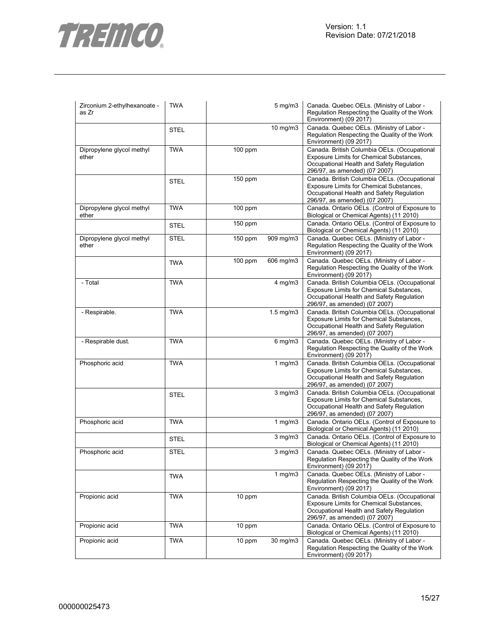

| Zirconium 2-ethylhexanoate -<br>as Zr | <b>TWA</b>  |           | $5$ mg/m $3$   | Canada. Quebec OELs. (Ministry of Labor -<br>Regulation Respecting the Quality of the Work<br>Environment) (09 2017)                                                          |
|---------------------------------------|-------------|-----------|----------------|-------------------------------------------------------------------------------------------------------------------------------------------------------------------------------|
|                                       | <b>STEL</b> |           | 10 mg/m3       | Canada. Quebec OELs. (Ministry of Labor -<br>Regulation Respecting the Quality of the Work<br>Environment) (09 2017)                                                          |
| Dipropylene glycol methyl<br>ether    | <b>TWA</b>  | $100$ ppm |                | Canada. British Columbia OELs. (Occupational<br>Exposure Limits for Chemical Substances,<br>Occupational Health and Safety Regulation<br>296/97, as amended) (07 2007)        |
|                                       | <b>STEL</b> | 150 ppm   |                | Canada. British Columbia OELs. (Occupational<br>Exposure Limits for Chemical Substances,<br>Occupational Health and Safety Regulation<br>296/97, as amended) (07 2007)        |
| Dipropylene glycol methyl<br>ether    | <b>TWA</b>  | $100$ ppm |                | Canada. Ontario OELs. (Control of Exposure to<br>Biological or Chemical Agents) (11 2010)                                                                                     |
|                                       | <b>STEL</b> | $150$ ppm |                | Canada. Ontario OELs. (Control of Exposure to<br>Biological or Chemical Agents) (11 2010)                                                                                     |
| Dipropylene glycol methyl<br>ether    | <b>STEL</b> | $150$ ppm | 909 mg/m3      | Canada. Quebec OELs. (Ministry of Labor -<br>Regulation Respecting the Quality of the Work<br>Environment) (09 2017)                                                          |
|                                       | <b>TWA</b>  | $100$ ppm | 606 mg/m3      | Canada. Quebec OELs. (Ministry of Labor -<br>Regulation Respecting the Quality of the Work<br>Environment) (09 2017)                                                          |
| - Total                               | <b>TWA</b>  |           | $4$ mg/m $3$   | Canada. British Columbia OELs. (Occupational<br><b>Exposure Limits for Chemical Substances,</b><br>Occupational Health and Safety Regulation<br>296/97, as amended) (07 2007) |
| - Respirable.                         | <b>TWA</b>  |           | $1.5$ mg/m $3$ | Canada. British Columbia OELs. (Occupational<br>Exposure Limits for Chemical Substances,<br>Occupational Health and Safety Regulation<br>296/97, as amended) (07 2007)        |
| - Respirable dust.                    | <b>TWA</b>  |           | $6$ mg/m $3$   | Canada. Quebec OELs. (Ministry of Labor -<br>Regulation Respecting the Quality of the Work<br>Environment) (09 2017)                                                          |
| Phosphoric acid                       | <b>TWA</b>  |           | 1 $mg/m3$      | Canada. British Columbia OELs. (Occupational<br>Exposure Limits for Chemical Substances,<br>Occupational Health and Safety Regulation<br>296/97, as amended) (07 2007)        |
|                                       | <b>STEL</b> |           | $3$ mg/m $3$   | Canada. British Columbia OELs. (Occupational<br>Exposure Limits for Chemical Substances,<br>Occupational Health and Safety Regulation<br>296/97, as amended) (07 2007)        |
| Phosphoric acid                       | <b>TWA</b>  |           | 1 $mg/m3$      | Canada. Ontario OELs. (Control of Exposure to<br>Biological or Chemical Agents) (11 2010)                                                                                     |
|                                       | <b>STEL</b> |           | $3$ mg/m $3$   | Canada. Ontario OELs. (Control of Exposure to<br>Biological or Chemical Agents) (11 2010)                                                                                     |
| Phosphoric acid                       | <b>STEL</b> |           | $3$ mg/m $3$   | Canada. Quebec OELs. (Ministry of Labor -<br>Regulation Respecting the Quality of the Work<br>Environment) (09 2017)                                                          |
|                                       | <b>TWA</b>  |           | 1 $mg/m3$      | Canada. Quebec OELs. (Ministry of Labor -<br>Regulation Respecting the Quality of the Work<br>Environment) (09 2017)                                                          |
| Propionic acid                        | <b>TWA</b>  | 10 ppm    |                | Canada. British Columbia OELs. (Occupational<br>Exposure Limits for Chemical Substances,<br>Occupational Health and Safety Regulation<br>296/97, as amended) (07 2007)        |
| Propionic acid                        | <b>TWA</b>  | 10 ppm    |                | Canada. Ontario OELs. (Control of Exposure to<br>Biological or Chemical Agents) (11 2010)                                                                                     |
| Propionic acid                        | <b>TWA</b>  | 10 ppm    | 30 mg/m3       | Canada. Quebec OELs. (Ministry of Labor -<br>Regulation Respecting the Quality of the Work<br>Environment) (09 2017)                                                          |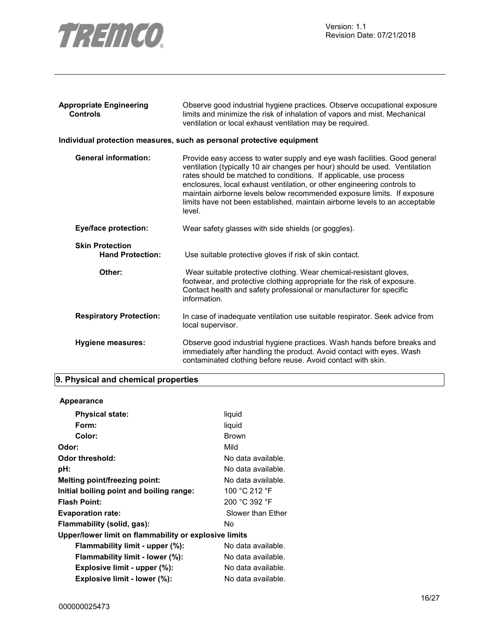

| <b>Appropriate Engineering</b><br><b>Controls</b> | Observe good industrial hygiene practices. Observe occupational exposure<br>limits and minimize the risk of inhalation of vapors and mist. Mechanical<br>ventilation or local exhaust ventilation may be required.                                                                                                                                                                                                                                                           |
|---------------------------------------------------|------------------------------------------------------------------------------------------------------------------------------------------------------------------------------------------------------------------------------------------------------------------------------------------------------------------------------------------------------------------------------------------------------------------------------------------------------------------------------|
|                                                   | Individual protection measures, such as personal protective equipment                                                                                                                                                                                                                                                                                                                                                                                                        |
| <b>General information:</b>                       | Provide easy access to water supply and eye wash facilities. Good general<br>ventilation (typically 10 air changes per hour) should be used. Ventilation<br>rates should be matched to conditions. If applicable, use process<br>enclosures, local exhaust ventilation, or other engineering controls to<br>maintain airborne levels below recommended exposure limits. If exposure<br>limits have not been established, maintain airborne levels to an acceptable<br>level. |
| Eye/face protection:                              | Wear safety glasses with side shields (or goggles).                                                                                                                                                                                                                                                                                                                                                                                                                          |
| <b>Skin Protection</b><br><b>Hand Protection:</b> | Use suitable protective gloves if risk of skin contact.                                                                                                                                                                                                                                                                                                                                                                                                                      |
| Other:                                            | Wear suitable protective clothing. Wear chemical-resistant gloves,<br>footwear, and protective clothing appropriate for the risk of exposure.<br>Contact health and safety professional or manufacturer for specific<br>information.                                                                                                                                                                                                                                         |
| <b>Respiratory Protection:</b>                    | In case of inadequate ventilation use suitable respirator. Seek advice from<br>local supervisor.                                                                                                                                                                                                                                                                                                                                                                             |
| <b>Hygiene measures:</b>                          | Observe good industrial hygiene practices. Wash hands before breaks and<br>immediately after handling the product. Avoid contact with eyes. Wash<br>contaminated clothing before reuse. Avoid contact with skin.                                                                                                                                                                                                                                                             |

# **9. Physical and chemical properties**

# **Appearance**

| <b>Physical state:</b>                                | liquid             |
|-------------------------------------------------------|--------------------|
| Form:                                                 | liquid             |
| Color:                                                | <b>Brown</b>       |
| Odor:                                                 | Mild               |
| Odor threshold:                                       | No data available. |
| pH:                                                   | No data available. |
| Melting point/freezing point:                         | No data available. |
| Initial boiling point and boiling range:              | 100 °C 212 °F      |
| <b>Flash Point:</b>                                   | 200 °C 392 °F      |
| <b>Evaporation rate:</b>                              | Slower than Ether  |
| Flammability (solid, gas):                            | No.                |
| Upper/lower limit on flammability or explosive limits |                    |
| Flammability limit - upper (%):                       | No data available. |
| Flammability limit - lower (%):                       | No data available. |
| Explosive limit - upper (%):                          | No data available. |
| Explosive limit - lower (%):                          | No data available. |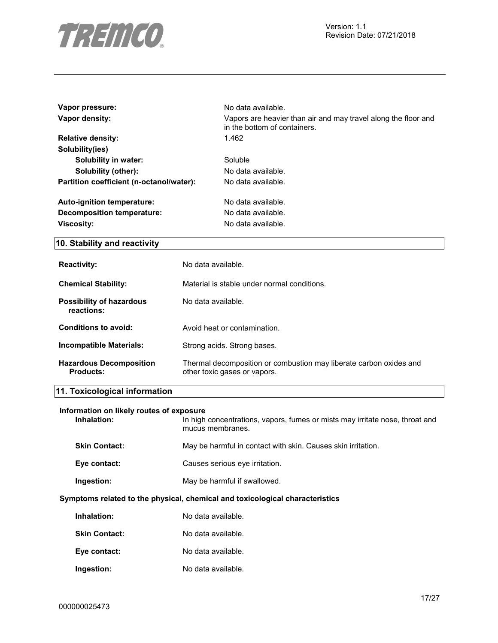

| Vapor pressure:                          | No data available.                                                                             |  |  |
|------------------------------------------|------------------------------------------------------------------------------------------------|--|--|
| Vapor density:                           | Vapors are heavier than air and may travel along the floor and<br>in the bottom of containers. |  |  |
| <b>Relative density:</b>                 | 1.462                                                                                          |  |  |
| Solubility(ies)                          |                                                                                                |  |  |
| Solubility in water:                     | Soluble                                                                                        |  |  |
| Solubility (other):                      | No data available.                                                                             |  |  |
| Partition coefficient (n-octanol/water): | No data available.                                                                             |  |  |
| Auto-ignition temperature:               | No data available.                                                                             |  |  |
| Decomposition temperature:               | No data available.                                                                             |  |  |
| <b>Viscosity:</b>                        | No data available.                                                                             |  |  |

# **10. Stability and reactivity**

| <b>Reactivity:</b>                          | No data available.                                                                                 |
|---------------------------------------------|----------------------------------------------------------------------------------------------------|
| <b>Chemical Stability:</b>                  | Material is stable under normal conditions.                                                        |
| Possibility of hazardous<br>reactions:      | No data available.                                                                                 |
| Conditions to avoid:                        | Avoid heat or contamination.                                                                       |
| Incompatible Materials:                     | Strong acids. Strong bases.                                                                        |
| <b>Hazardous Decomposition</b><br>Products: | Thermal decomposition or combustion may liberate carbon oxides and<br>other toxic gases or vapors. |

# **11. Toxicological information**

| Information on likely routes of exposure<br>Inhalation:                      | In high concentrations, vapors, fumes or mists may irritate nose, throat and<br>mucus membranes. |  |
|------------------------------------------------------------------------------|--------------------------------------------------------------------------------------------------|--|
| <b>Skin Contact:</b>                                                         | May be harmful in contact with skin. Causes skin irritation.                                     |  |
| Eye contact:                                                                 | Causes serious eye irritation.                                                                   |  |
| Ingestion:                                                                   | May be harmful if swallowed.                                                                     |  |
| Symptoms related to the physical, chemical and toxicological characteristics |                                                                                                  |  |
| Inhalation:                                                                  | No data available.                                                                               |  |
| <b>Skin Contact:</b>                                                         | No data available.                                                                               |  |
| Eye contact:                                                                 | No data available.                                                                               |  |
| Ingestion:                                                                   | No data available.                                                                               |  |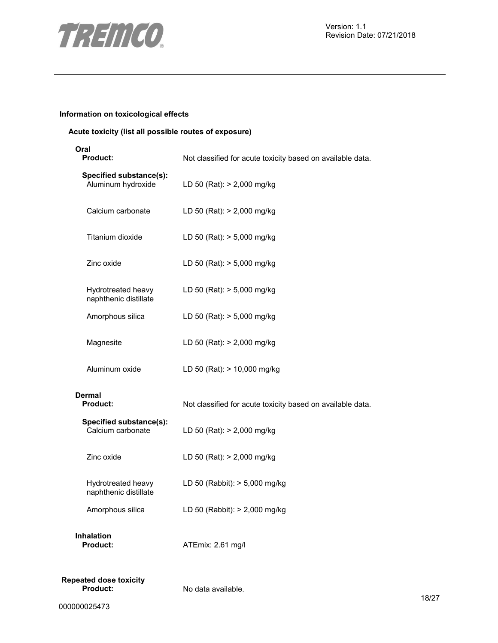

# **Information on toxicological effects**

# **Acute toxicity (list all possible routes of exposure)**

| Oral<br><b>Product:</b>                          | Not classified for acute toxicity based on available data. |  |
|--------------------------------------------------|------------------------------------------------------------|--|
| Specified substance(s):<br>Aluminum hydroxide    | LD 50 (Rat): > 2,000 mg/kg                                 |  |
| Calcium carbonate                                | LD 50 (Rat): > 2,000 mg/kg                                 |  |
| Titanium dioxide                                 | LD 50 (Rat): > 5,000 mg/kg                                 |  |
| Zinc oxide                                       | LD 50 (Rat): > 5,000 mg/kg                                 |  |
| Hydrotreated heavy<br>naphthenic distillate      | LD 50 (Rat): > 5,000 mg/kg                                 |  |
| Amorphous silica                                 | LD 50 (Rat): > 5,000 mg/kg                                 |  |
| Magnesite                                        | LD 50 (Rat): > 2,000 mg/kg                                 |  |
| Aluminum oxide                                   | LD 50 (Rat): > 10,000 mg/kg                                |  |
| <b>Dermal</b><br>Product:                        | Not classified for acute toxicity based on available data. |  |
| Specified substance(s):<br>Calcium carbonate     | LD 50 (Rat): > 2,000 mg/kg                                 |  |
| Zinc oxide                                       | LD 50 (Rat): > 2,000 mg/kg                                 |  |
| Hydrotreated heavy<br>naphthenic distillate      | LD 50 (Rabbit): > 5,000 mg/kg                              |  |
| Amorphous silica                                 | LD 50 (Rabbit): > 2,000 mg/kg                              |  |
| <b>Inhalation</b><br>Product:                    | ATEmix: 2.61 mg/l                                          |  |
| <b>Repeated dose toxicity</b><br><b>Product:</b> | No data available.                                         |  |

**Product:** No data available.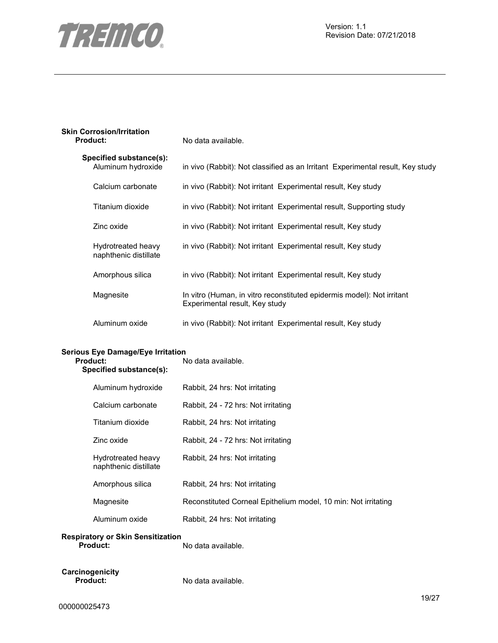

# **Skin Corrosion/Irritation**

**Product:** No data available.

| Specified substance(s):<br>Aluminum hydroxide | in vivo (Rabbit): Not classified as an Irritant Experimental result, Key study                           |
|-----------------------------------------------|----------------------------------------------------------------------------------------------------------|
| Calcium carbonate                             | in vivo (Rabbit): Not irritant Experimental result, Key study                                            |
| Titanium dioxide                              | in vivo (Rabbit): Not irritant Experimental result, Supporting study                                     |
| Zinc oxide                                    | in vivo (Rabbit): Not irritant Experimental result, Key study                                            |
| Hydrotreated heavy<br>naphthenic distillate   | in vivo (Rabbit): Not irritant Experimental result, Key study                                            |
| Amorphous silica                              | in vivo (Rabbit): Not irritant Experimental result, Key study                                            |
| Magnesite                                     | In vitro (Human, in vitro reconstituted epidermis model): Not irritant<br>Experimental result, Key study |
| Aluminum oxide                                | in vivo (Rabbit): Not irritant Experimental result, Key study                                            |

# **Serious Eye Damage/Eye Irritation**

| <b>Product:</b><br>Specified substance(s):         | No data available.                                             |  |
|----------------------------------------------------|----------------------------------------------------------------|--|
| Aluminum hydroxide                                 | Rabbit, 24 hrs: Not irritating                                 |  |
| Calcium carbonate                                  | Rabbit, 24 - 72 hrs: Not irritating                            |  |
| Titanium dioxide                                   | Rabbit, 24 hrs: Not irritating                                 |  |
| Zinc oxide                                         | Rabbit, 24 - 72 hrs: Not irritating                            |  |
| <b>Hydrotreated heavy</b><br>naphthenic distillate | Rabbit, 24 hrs: Not irritating                                 |  |
| Amorphous silica                                   | Rabbit, 24 hrs: Not irritating                                 |  |
| Magnesite                                          | Reconstituted Corneal Epithelium model, 10 min: Not irritating |  |
| Aluminum oxide                                     | Rabbit, 24 hrs: Not irritating                                 |  |

# **Respiratory or Skin Sensitization**

No data available.

# **Carcinogenicity**

No data available.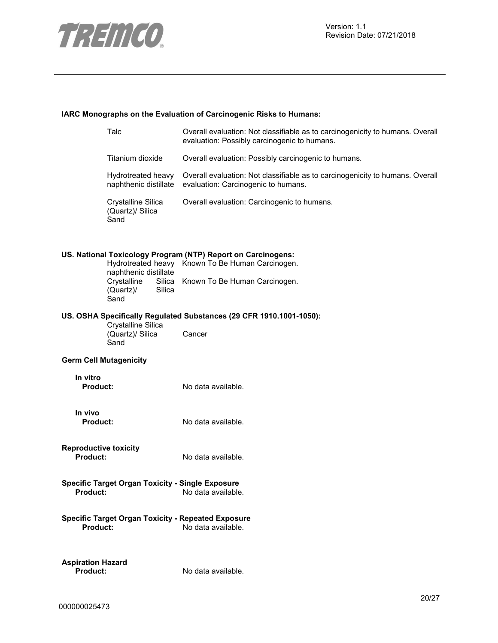

# **IARC Monographs on the Evaluation of Carcinogenic Risks to Humans:**

| Talc                                           | Overall evaluation: Not classifiable as to carcinogenicity to humans. Overall<br>evaluation: Possibly carcinogenic to humans. |
|------------------------------------------------|-------------------------------------------------------------------------------------------------------------------------------|
| Titanium dioxide                               | Overall evaluation: Possibly carcinogenic to humans.                                                                          |
| Hydrotreated heavy<br>naphthenic distillate    | Overall evaluation: Not classifiable as to carcinogenicity to humans. Overall<br>evaluation: Carcinogenic to humans.          |
| Crystalline Silica<br>(Quartz)/ Silica<br>Sand | Overall evaluation: Carcinogenic to humans.                                                                                   |
|                                                | US. National Toxicology Program (NTP) Report on Carcinogens:                                                                  |
| naphthenic distillate                          | Hydrotreated heavy Known To Be Human Carcinogen.                                                                              |
| Crystalline<br>Silica<br>(Quartz)/<br>Sand     | Silica Known To Be Human Carcinogen.                                                                                          |

# **US. OSHA Specifically Regulated Substances (29 CFR 1910.1001-1050):**

Crystalline Silica (Quartz)/ Silica Sand Cancer

#### **Germ Cell Mutagenicity**

**In vitro Product:** No data available.

**In vivo Product:** No data available.

**Reproductive toxicity** 

No data available.

- **Specific Target Organ Toxicity Single Exposure**  No data available.
- **Specific Target Organ Toxicity Repeated Exposure Product:** No data available.

**Aspiration Hazard** 

No data available.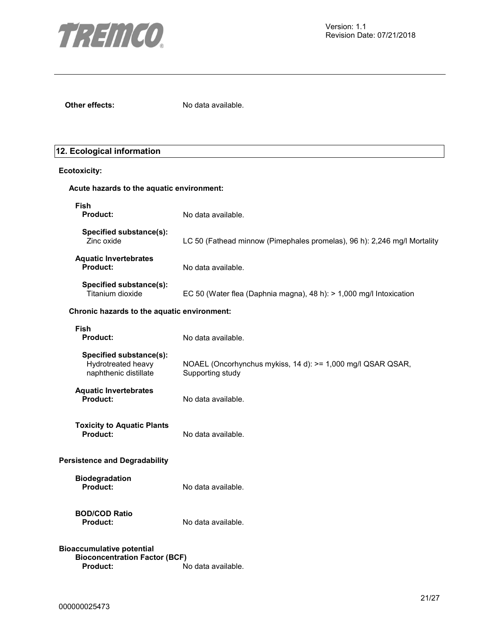

**Other effects:** No data available.

# **12. Ecological information**

# **Ecotoxicity:**

| Acute hazards to the aquatic environment:                                                                         |                                                                                 |  |
|-------------------------------------------------------------------------------------------------------------------|---------------------------------------------------------------------------------|--|
| Fish<br><b>Product:</b>                                                                                           | No data available.                                                              |  |
| Specified substance(s):<br>Zinc oxide                                                                             | LC 50 (Fathead minnow (Pimephales promelas), 96 h): 2,246 mg/l Mortality        |  |
| <b>Aquatic Invertebrates</b><br><b>Product:</b>                                                                   | No data available.                                                              |  |
| Specified substance(s):<br>Titanium dioxide                                                                       | EC 50 (Water flea (Daphnia magna), 48 h): > 1,000 mg/l Intoxication             |  |
| Chronic hazards to the aquatic environment:                                                                       |                                                                                 |  |
| Fish<br><b>Product:</b>                                                                                           | No data available.                                                              |  |
| Specified substance(s):<br>Hydrotreated heavy<br>naphthenic distillate                                            | NOAEL (Oncorhynchus mykiss, 14 d): >= 1,000 mg/l QSAR QSAR,<br>Supporting study |  |
| <b>Aquatic Invertebrates</b><br><b>Product:</b>                                                                   | No data available.                                                              |  |
| <b>Toxicity to Aquatic Plants</b><br><b>Product:</b>                                                              | No data available.                                                              |  |
| <b>Persistence and Degradability</b>                                                                              |                                                                                 |  |
| <b>Biodegradation</b><br>Product:                                                                                 | No data available.                                                              |  |
| <b>BOD/COD Ratio</b><br>Product:                                                                                  | No data available.                                                              |  |
| <b>Bioaccumulative potential</b><br><b>Bioconcentration Factor (BCF)</b><br><b>Product:</b><br>No data available. |                                                                                 |  |
|                                                                                                                   |                                                                                 |  |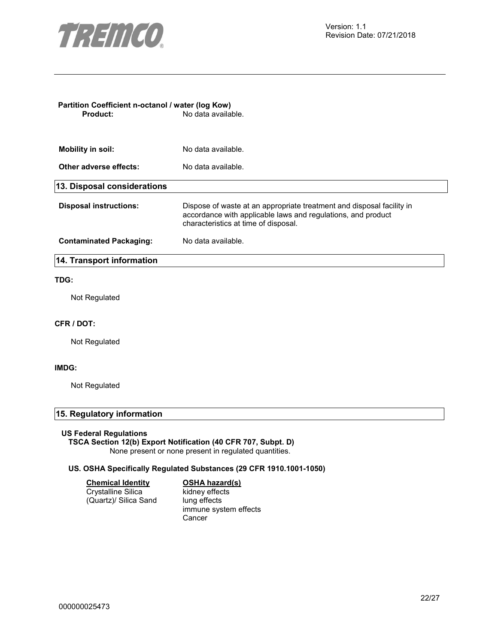

# **Partition Coefficient n-octanol / water (log Kow) Product:** No data available. **Mobility in soil:** No data available. **Other adverse effects:** No data available. **13. Disposal considerations Disposal instructions:** Dispose of waste at an appropriate treatment and disposal facility in accordance with applicable laws and regulations, and product characteristics at time of disposal. **Contaminated Packaging:** No data available. **14. Transport information TDG:**  Not Regulated **CFR / DOT:** Not Regulated **IMDG:**  Not Regulated **15. Regulatory information US Federal Regulations**

# **TSCA Section 12(b) Export Notification (40 CFR 707, Subpt. D)**

None present or none present in regulated quantities.

# **US. OSHA Specifically Regulated Substances (29 CFR 1910.1001-1050)**

# **Chemical Identity OSHA hazard(s)**

Crystalline Silica (Quartz)/ Silica Sand

# kidney effects

lung effects immune system effects Cancer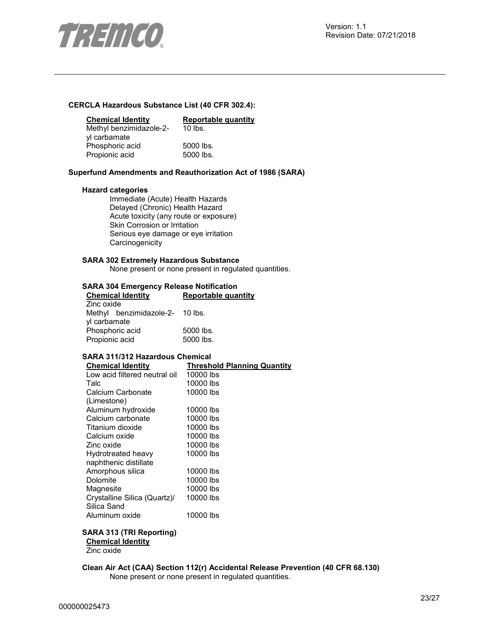

# **CERCLA Hazardous Substance List (40 CFR 302.4):**

| <b>Chemical Identity</b> | Reportable quantity |
|--------------------------|---------------------|
| Methyl benzimidazole-2-  | $10$ lbs.           |
| yl carbamate             |                     |
| Phosphoric acid          | 5000 lbs.           |
| Propionic acid           | 5000 lbs.           |

# **Superfund Amendments and Reauthorization Act of 1986 (SARA)**

#### **Hazard categories**

Immediate (Acute) Health Hazards Delayed (Chronic) Health Hazard Acute toxicity (any route or exposure) Skin Corrosion or Irritation Serious eye damage or eye irritation **Carcinogenicity** 

# **SARA 302 Extremely Hazardous Substance**

None present or none present in regulated quantities.

#### **SARA 304 Emergency Release Notification**

| <b>Chemical Identity</b> |                                 | Reportable quantity |  |
|--------------------------|---------------------------------|---------------------|--|
| Zinc oxide               |                                 |                     |  |
|                          | Methyl benzimidazole-2- 10 lbs. |                     |  |
| yl carbamate             |                                 |                     |  |
| Phosphoric acid          |                                 | 5000 lbs.           |  |
| Propionic acid           |                                 | 5000 lbs.           |  |

#### **SARA 311/312 Hazardous Chemical**

| <b>Chemical Identity</b>       | <b>Threshold Planning Quantity</b> |
|--------------------------------|------------------------------------|
| I ow acid filtered neutral oil | 10000 lbs                          |
| Talc                           | 10000 lbs                          |
| Calcium Carbonate              | 10000 lbs                          |
| (Limestone)                    |                                    |
| Aluminum hydroxide             | 10000 lbs                          |
| Calcium carbonate              | 10000 lbs                          |
| Titanium dioxide               | 10000 lbs                          |
| Calcium oxide                  | 10000 lbs                          |
| Zinc oxide                     | 10000 lbs                          |
| Hydrotreated heavy             | 10000 lbs                          |
| naphthenic distillate          |                                    |
| Amorphous silica               | 10000 lbs                          |
| Dolomite                       | 10000 lbs                          |
| Magnesite                      | 10000 lbs                          |
| Crystalline Silica (Quartz)/   | 10000 lbs                          |
| Silica Sand                    |                                    |
| Aluminum oxide                 | 10000 lbs                          |

# **SARA 313 (TRI Reporting)**

**Chemical Identity** Zinc oxide

**Clean Air Act (CAA) Section 112(r) Accidental Release Prevention (40 CFR 68.130)**  None present or none present in regulated quantities.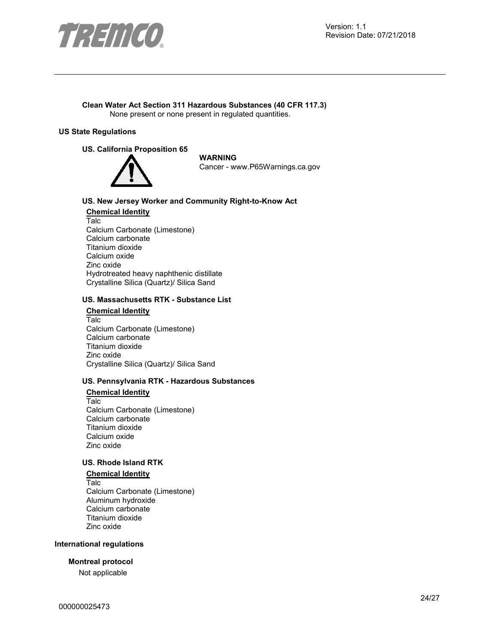

#### **Clean Water Act Section 311 Hazardous Substances (40 CFR 117.3)**  None present or none present in regulated quantities.

# **US State Regulations**

### **US. California Proposition 65**



**WARNING** Cancer - www.P65Warnings.ca.gov

# **US. New Jersey Worker and Community Right-to-Know Act**

**Chemical Identity** Talc Calcium Carbonate (Limestone) Calcium carbonate Titanium dioxide Calcium oxide Zinc oxide Hydrotreated heavy naphthenic distillate Crystalline Silica (Quartz)/ Silica Sand

## **US. Massachusetts RTK - Substance List**

#### **Chemical Identity**

Talc Calcium Carbonate (Limestone) Calcium carbonate Titanium dioxide Zinc oxide Crystalline Silica (Quartz)/ Silica Sand

#### **US. Pennsylvania RTK - Hazardous Substances**

#### **Chemical Identity**

Talc Calcium Carbonate (Limestone) Calcium carbonate Titanium dioxide Calcium oxide Zinc oxide

# **US. Rhode Island RTK**

# **Chemical Identity**

Talc Calcium Carbonate (Limestone) Aluminum hydroxide Calcium carbonate Titanium dioxide Zinc oxide

# **International regulations**

# **Montreal protocol**

Not applicable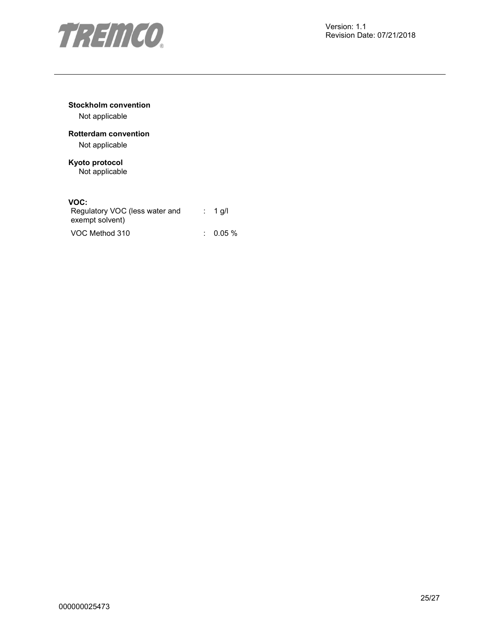

# **Stockholm convention**

Not applicable

# **Rotterdam convention**

Not applicable

# **Kyoto protocol**

Not applicable

# **VOC:**

| Regulatory VOC (less water and<br>exempt solvent) | $: 1$ g/l |
|---------------------------------------------------|-----------|
| VOC Method 310                                    | $0.05\%$  |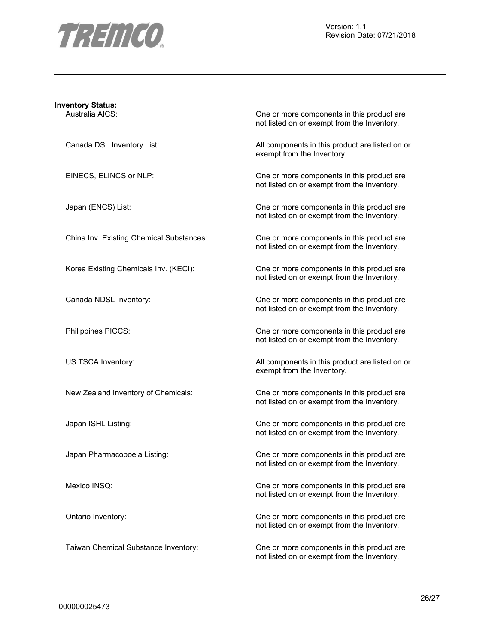

| <b>Inventory Status:</b>                 |                                                                                           |
|------------------------------------------|-------------------------------------------------------------------------------------------|
| Australia AICS:                          | One or more components in this product are<br>not listed on or exempt from the Inventory. |
| Canada DSL Inventory List:               | All components in this product are listed on or<br>exempt from the Inventory.             |
| EINECS, ELINCS or NLP:                   | One or more components in this product are<br>not listed on or exempt from the Inventory. |
| Japan (ENCS) List:                       | One or more components in this product are<br>not listed on or exempt from the Inventory. |
| China Inv. Existing Chemical Substances: | One or more components in this product are<br>not listed on or exempt from the Inventory. |
| Korea Existing Chemicals Inv. (KECI):    | One or more components in this product are<br>not listed on or exempt from the Inventory. |
| Canada NDSL Inventory:                   | One or more components in this product are<br>not listed on or exempt from the Inventory. |
| Philippines PICCS:                       | One or more components in this product are<br>not listed on or exempt from the Inventory. |
| US TSCA Inventory:                       | All components in this product are listed on or<br>exempt from the Inventory.             |
| New Zealand Inventory of Chemicals:      | One or more components in this product are<br>not listed on or exempt from the Inventory. |
| Japan ISHL Listing:                      | One or more components in this product are<br>not listed on or exempt from the Inventory. |
| Japan Pharmacopoeia Listing:             | One or more components in this product are<br>not listed on or exempt from the Inventory. |
| Mexico INSQ:                             | One or more components in this product are<br>not listed on or exempt from the Inventory. |
| Ontario Inventory:                       | One or more components in this product are<br>not listed on or exempt from the Inventory. |
| Taiwan Chemical Substance Inventory:     | One or more components in this product are                                                |

not listed on or exempt from the Inventory.